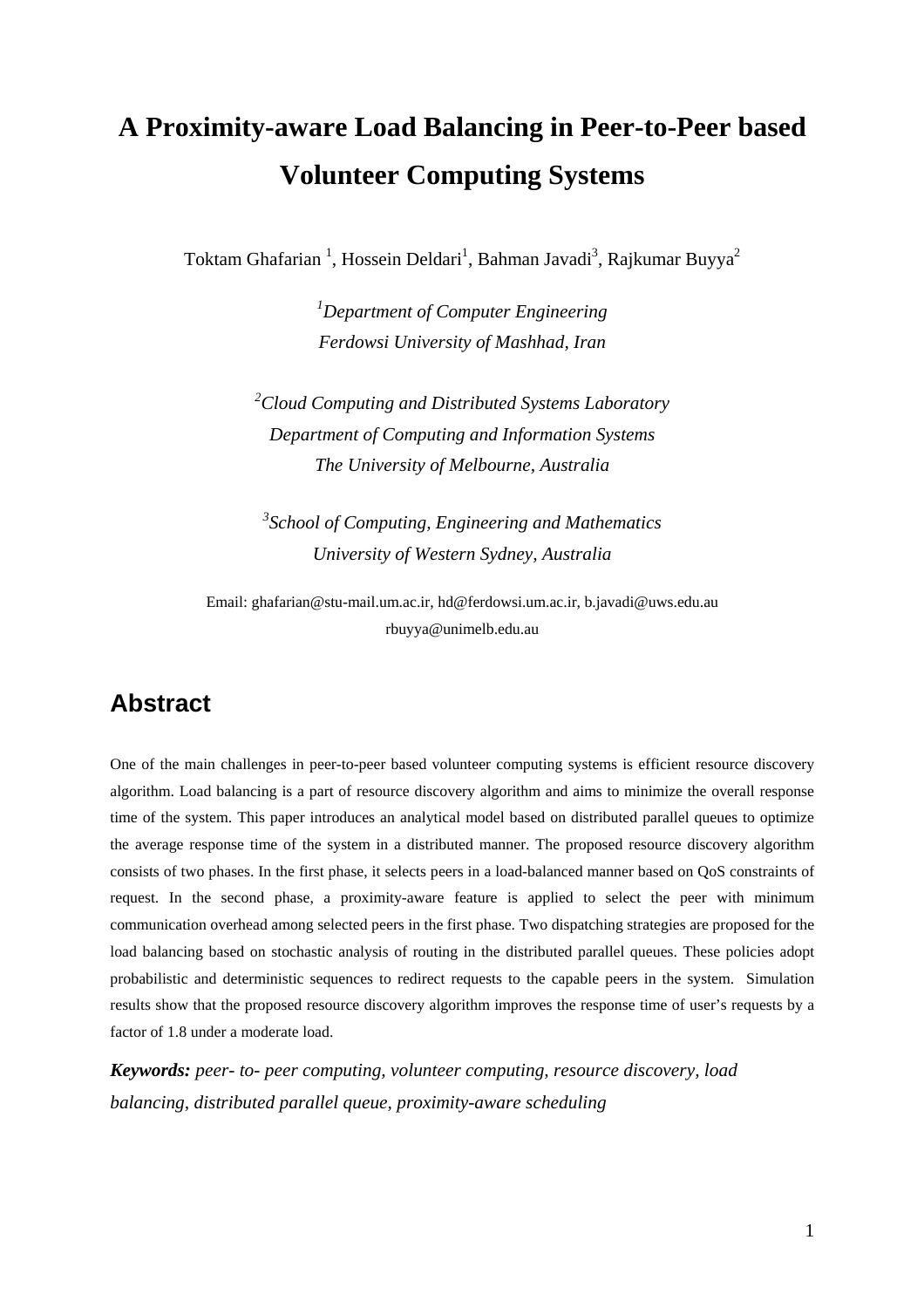# **A Proximity-aware Load Balancing in Peer-to-Peer based Volunteer Computing Systems**

Toktam Ghafarian  $^1$ , Hossein Deldari $^1$ , Bahman Javadi $^3$ , Rajkumar Buyya $^2$ 

*1 Department of Computer Engineering Ferdowsi University of Mashhad, Iran* 

*2 Cloud Computing and Distributed Systems Laboratory Department of Computing and Information Systems The University of Melbourne, Australia* 

*3 School of Computing, Engineering and Mathematics University of Western Sydney, Australia* 

Email: ghafarian@stu-mail.um.ac.ir, hd@ferdowsi.um.ac.ir, b.javadi@uws.edu.au rbuyya@unimelb.edu.au

# **Abstract**

One of the main challenges in peer-to-peer based volunteer computing systems is efficient resource discovery algorithm. Load balancing is a part of resource discovery algorithm and aims to minimize the overall response time of the system. This paper introduces an analytical model based on distributed parallel queues to optimize the average response time of the system in a distributed manner. The proposed resource discovery algorithm consists of two phases. In the first phase, it selects peers in a load-balanced manner based on QoS constraints of request. In the second phase, a proximity-aware feature is applied to select the peer with minimum communication overhead among selected peers in the first phase. Two dispatching strategies are proposed for the load balancing based on stochastic analysis of routing in the distributed parallel queues. These policies adopt probabilistic and deterministic sequences to redirect requests to the capable peers in the system. Simulation results show that the proposed resource discovery algorithm improves the response time of user's requests by a factor of 1.8 under a moderate load.

*Keywords: peer- to- peer computing, volunteer computing, resource discovery, load balancing, distributed parallel queue, proximity-aware scheduling*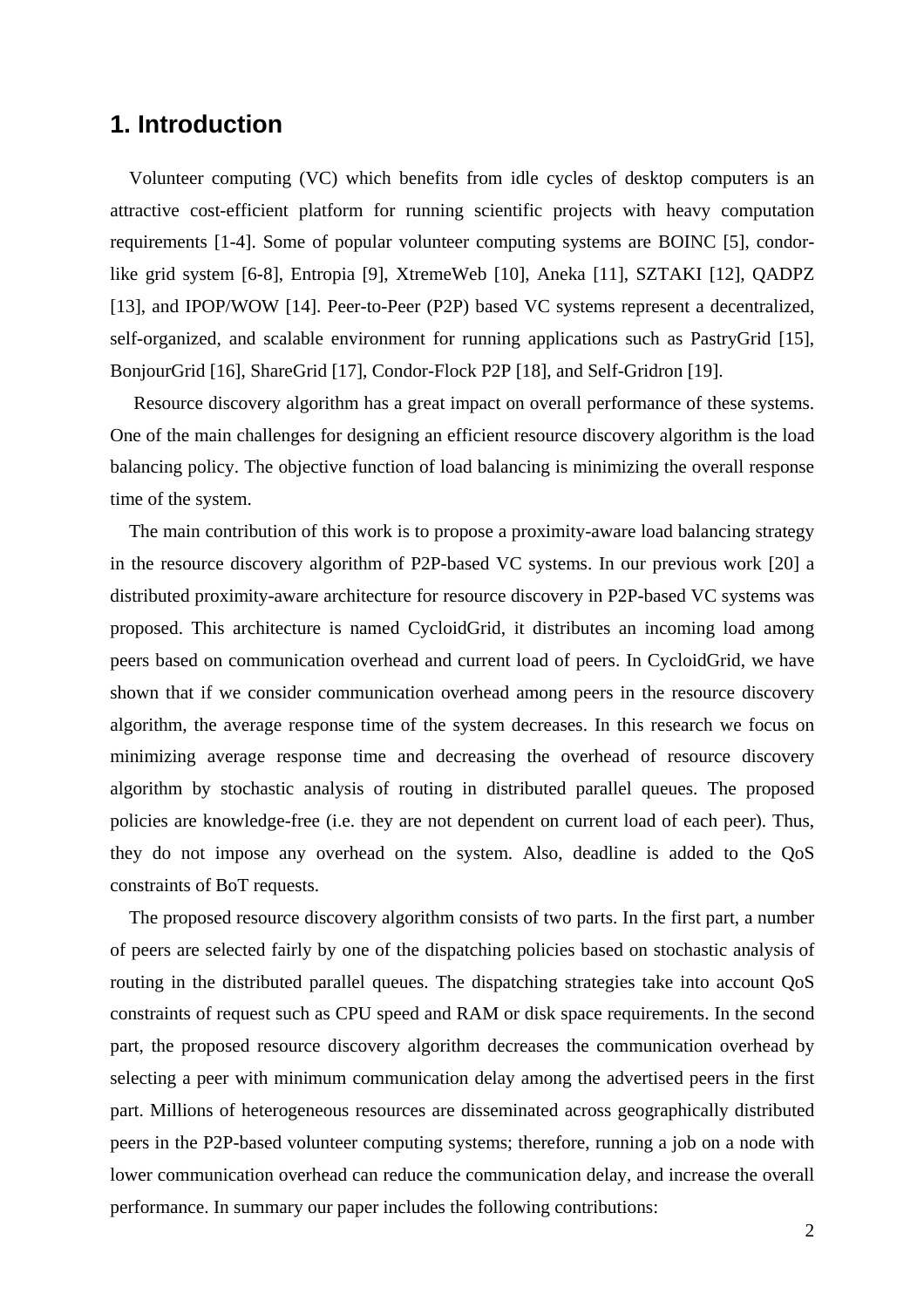# **1. Introduction**

Volunteer computing (VC) which benefits from idle cycles of desktop computers is an attractive cost-efficient platform for running scientific projects with heavy computation requirements [1-4]. Some of popular volunteer computing systems are BOINC [5], condorlike grid system [6-8], Entropia [9], XtremeWeb [10], Aneka [11], SZTAKI [12], QADPZ [13], and IPOP/WOW [14]. Peer-to-Peer (P2P) based VC systems represent a decentralized, self-organized, and scalable environment for running applications such as PastryGrid [15], BonjourGrid [16], ShareGrid [17], Condor-Flock P2P [18], and Self-Gridron [19].

 Resource discovery algorithm has a great impact on overall performance of these systems. One of the main challenges for designing an efficient resource discovery algorithm is the load balancing policy. The objective function of load balancing is minimizing the overall response time of the system.

The main contribution of this work is to propose a proximity-aware load balancing strategy in the resource discovery algorithm of P2P-based VC systems. In our previous work [20] a distributed proximity-aware architecture for resource discovery in P2P-based VC systems was proposed. This architecture is named CycloidGrid, it distributes an incoming load among peers based on communication overhead and current load of peers. In CycloidGrid, we have shown that if we consider communication overhead among peers in the resource discovery algorithm, the average response time of the system decreases. In this research we focus on minimizing average response time and decreasing the overhead of resource discovery algorithm by stochastic analysis of routing in distributed parallel queues. The proposed policies are knowledge-free (i.e. they are not dependent on current load of each peer). Thus, they do not impose any overhead on the system. Also, deadline is added to the QoS constraints of BoT requests.

The proposed resource discovery algorithm consists of two parts. In the first part, a number of peers are selected fairly by one of the dispatching policies based on stochastic analysis of routing in the distributed parallel queues. The dispatching strategies take into account QoS constraints of request such as CPU speed and RAM or disk space requirements. In the second part, the proposed resource discovery algorithm decreases the communication overhead by selecting a peer with minimum communication delay among the advertised peers in the first part. Millions of heterogeneous resources are disseminated across geographically distributed peers in the P2P-based volunteer computing systems; therefore, running a job on a node with lower communication overhead can reduce the communication delay, and increase the overall performance. In summary our paper includes the following contributions: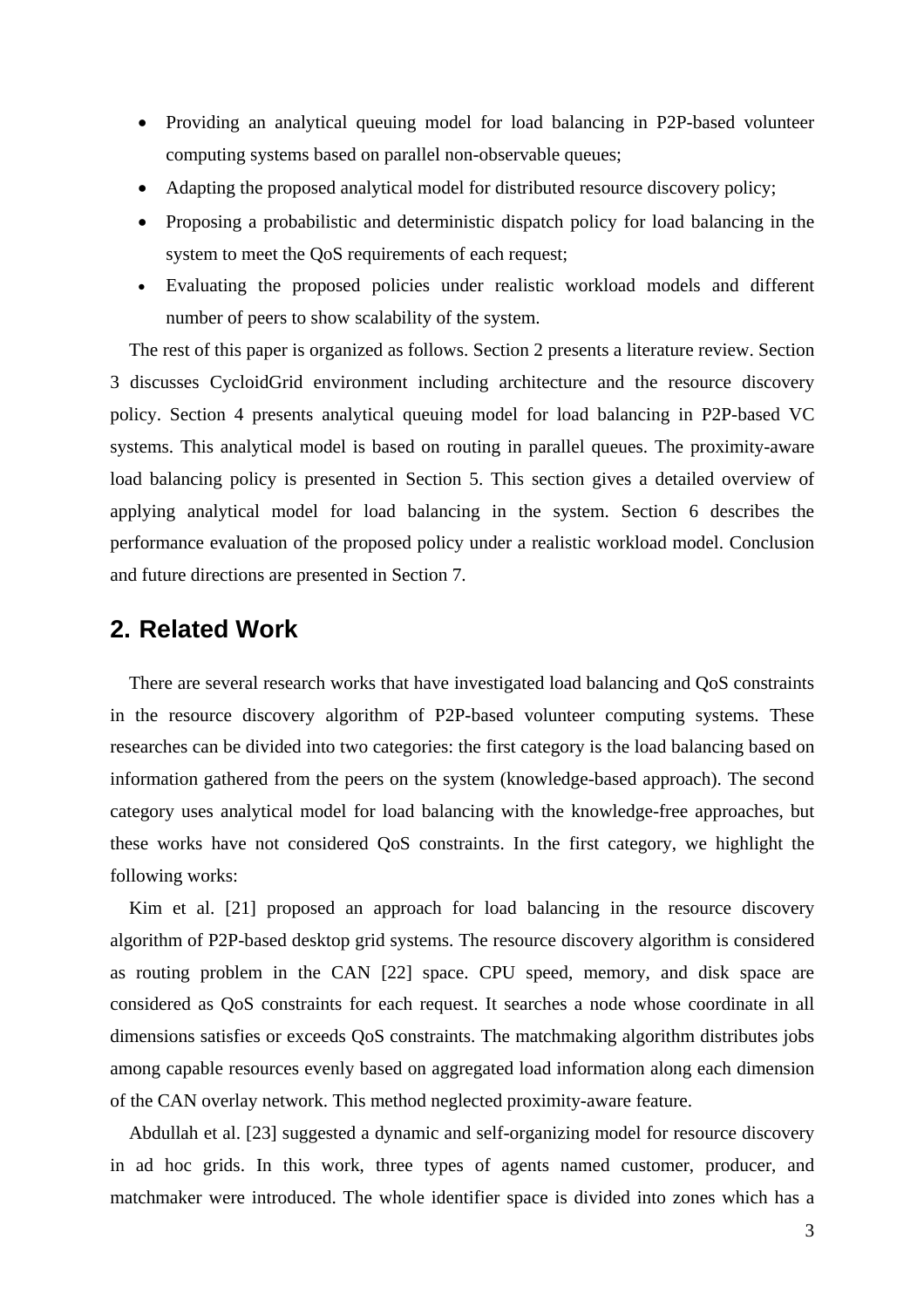- Providing an analytical queuing model for load balancing in P2P-based volunteer computing systems based on parallel non-observable queues;
- Adapting the proposed analytical model for distributed resource discovery policy;
- Proposing a probabilistic and deterministic dispatch policy for load balancing in the system to meet the QoS requirements of each request;
- Evaluating the proposed policies under realistic workload models and different number of peers to show scalability of the system.

The rest of this paper is organized as follows. Section 2 presents a literature review. Section 3 discusses CycloidGrid environment including architecture and the resource discovery policy. Section 4 presents analytical queuing model for load balancing in P2P-based VC systems. This analytical model is based on routing in parallel queues. The proximity-aware load balancing policy is presented in Section 5. This section gives a detailed overview of applying analytical model for load balancing in the system. Section 6 describes the performance evaluation of the proposed policy under a realistic workload model. Conclusion and future directions are presented in Section 7.

### **2. Related Work**

There are several research works that have investigated load balancing and QoS constraints in the resource discovery algorithm of P2P-based volunteer computing systems. These researches can be divided into two categories: the first category is the load balancing based on information gathered from the peers on the system (knowledge-based approach). The second category uses analytical model for load balancing with the knowledge-free approaches, but these works have not considered QoS constraints. In the first category, we highlight the following works:

Kim et al. [21] proposed an approach for load balancing in the resource discovery algorithm of P2P-based desktop grid systems. The resource discovery algorithm is considered as routing problem in the CAN [22] space. CPU speed, memory, and disk space are considered as QoS constraints for each request. It searches a node whose coordinate in all dimensions satisfies or exceeds QoS constraints. The matchmaking algorithm distributes jobs among capable resources evenly based on aggregated load information along each dimension of the CAN overlay network. This method neglected proximity-aware feature.

Abdullah et al. [23] suggested a dynamic and self-organizing model for resource discovery in ad hoc grids. In this work, three types of agents named customer, producer, and matchmaker were introduced. The whole identifier space is divided into zones which has a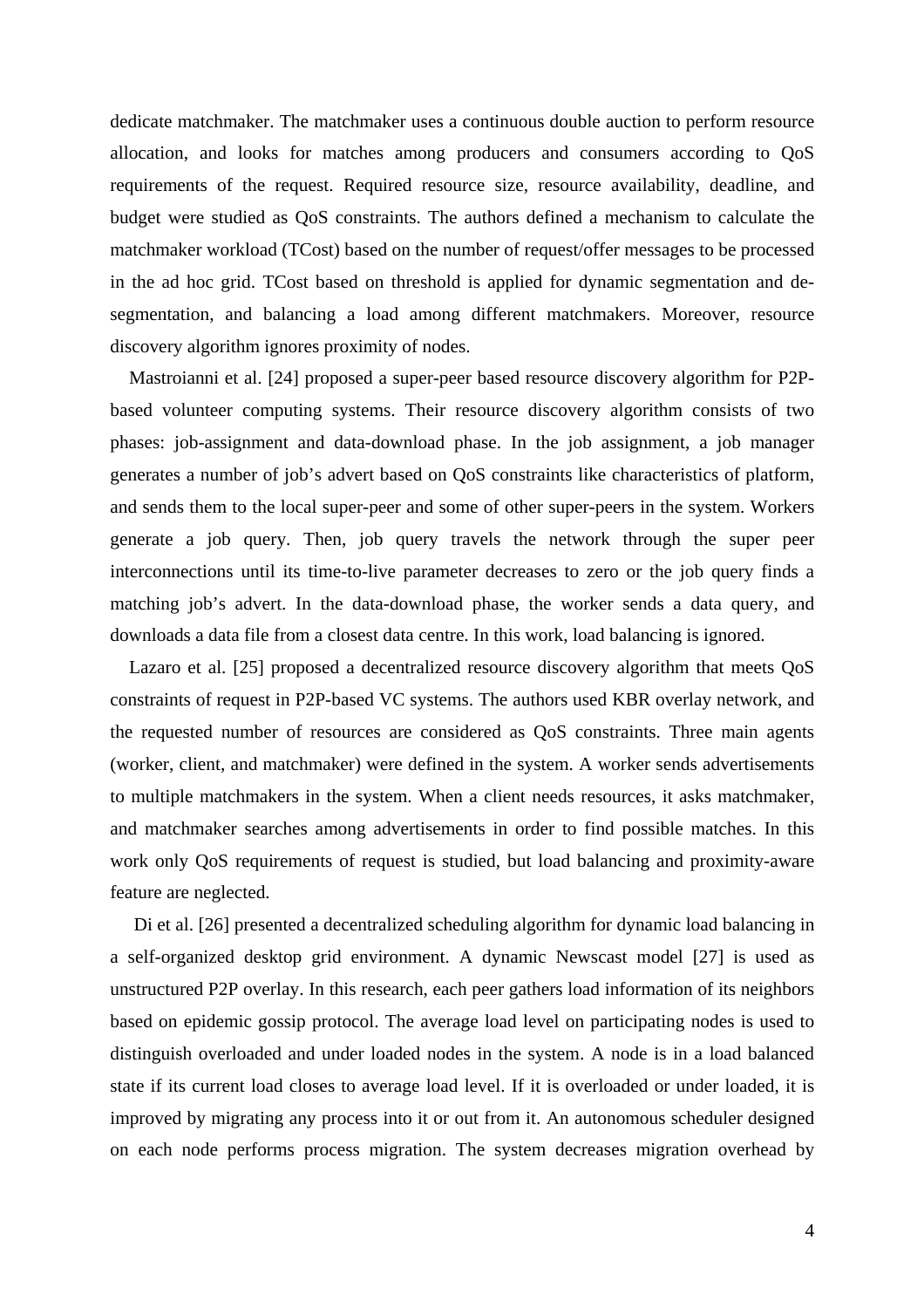dedicate matchmaker. The matchmaker uses a continuous double auction to perform resource allocation, and looks for matches among producers and consumers according to QoS requirements of the request. Required resource size, resource availability, deadline, and budget were studied as QoS constraints. The authors defined a mechanism to calculate the matchmaker workload (TCost) based on the number of request/offer messages to be processed in the ad hoc grid. TCost based on threshold is applied for dynamic segmentation and desegmentation, and balancing a load among different matchmakers. Moreover, resource discovery algorithm ignores proximity of nodes.

Mastroianni et al. [24] proposed a super-peer based resource discovery algorithm for P2Pbased volunteer computing systems. Their resource discovery algorithm consists of two phases: job-assignment and data-download phase. In the job assignment, a job manager generates a number of job's advert based on QoS constraints like characteristics of platform, and sends them to the local super-peer and some of other super-peers in the system. Workers generate a job query. Then, job query travels the network through the super peer interconnections until its time-to-live parameter decreases to zero or the job query finds a matching job's advert. In the data-download phase, the worker sends a data query, and downloads a data file from a closest data centre. In this work, load balancing is ignored.

Lazaro et al. [25] proposed a decentralized resource discovery algorithm that meets QoS constraints of request in P2P-based VC systems. The authors used KBR overlay network, and the requested number of resources are considered as QoS constraints. Three main agents (worker, client, and matchmaker) were defined in the system. A worker sends advertisements to multiple matchmakers in the system. When a client needs resources, it asks matchmaker, and matchmaker searches among advertisements in order to find possible matches. In this work only QoS requirements of request is studied, but load balancing and proximity-aware feature are neglected.

 Di et al. [26] presented a decentralized scheduling algorithm for dynamic load balancing in a self-organized desktop grid environment. A dynamic Newscast model [27] is used as unstructured P2P overlay. In this research, each peer gathers load information of its neighbors based on epidemic gossip protocol. The average load level on participating nodes is used to distinguish overloaded and under loaded nodes in the system. A node is in a load balanced state if its current load closes to average load level. If it is overloaded or under loaded, it is improved by migrating any process into it or out from it. An autonomous scheduler designed on each node performs process migration. The system decreases migration overhead by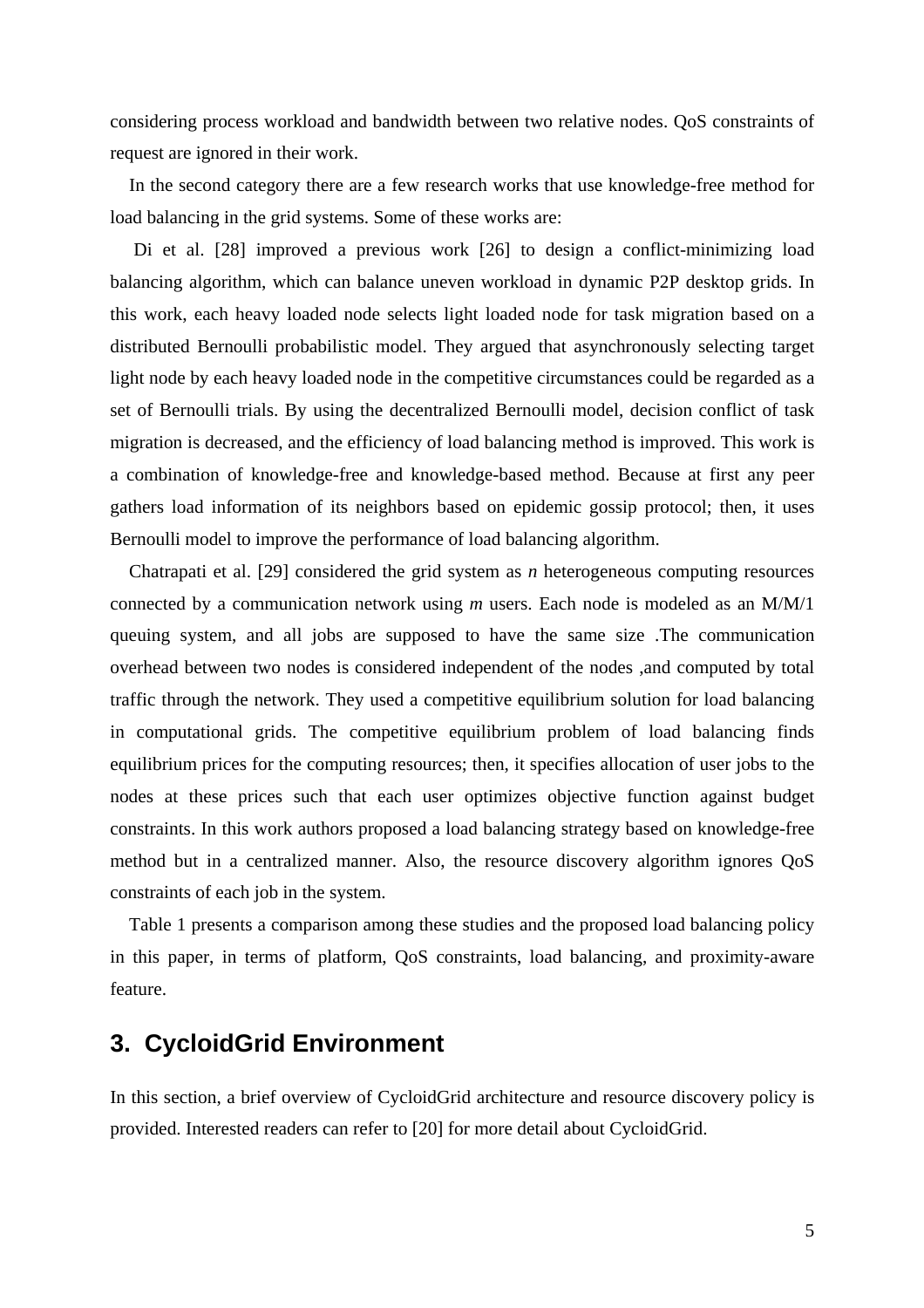considering process workload and bandwidth between two relative nodes. QoS constraints of request are ignored in their work.

In the second category there are a few research works that use knowledge-free method for load balancing in the grid systems. Some of these works are:

 Di et al. [28] improved a previous work [26] to design a conflict-minimizing load balancing algorithm, which can balance uneven workload in dynamic P2P desktop grids. In this work, each heavy loaded node selects light loaded node for task migration based on a distributed Bernoulli probabilistic model. They argued that asynchronously selecting target light node by each heavy loaded node in the competitive circumstances could be regarded as a set of Bernoulli trials. By using the decentralized Bernoulli model, decision conflict of task migration is decreased, and the efficiency of load balancing method is improved. This work is a combination of knowledge-free and knowledge-based method. Because at first any peer gathers load information of its neighbors based on epidemic gossip protocol; then, it uses Bernoulli model to improve the performance of load balancing algorithm.

Chatrapati et al. [29] considered the grid system as *n* heterogeneous computing resources connected by a communication network using *m* users. Each node is modeled as an M/M/1 queuing system, and all jobs are supposed to have the same size .The communication overhead between two nodes is considered independent of the nodes ,and computed by total traffic through the network. They used a competitive equilibrium solution for load balancing in computational grids. The competitive equilibrium problem of load balancing finds equilibrium prices for the computing resources; then, it specifies allocation of user jobs to the nodes at these prices such that each user optimizes objective function against budget constraints. In this work authors proposed a load balancing strategy based on knowledge-free method but in a centralized manner. Also, the resource discovery algorithm ignores QoS constraints of each job in the system.

Table 1 presents a comparison among these studies and the proposed load balancing policy in this paper, in terms of platform, QoS constraints, load balancing, and proximity-aware feature.

# **3. CycloidGrid Environment**

In this section, a brief overview of CycloidGrid architecture and resource discovery policy is provided. Interested readers can refer to [20] for more detail about CycloidGrid.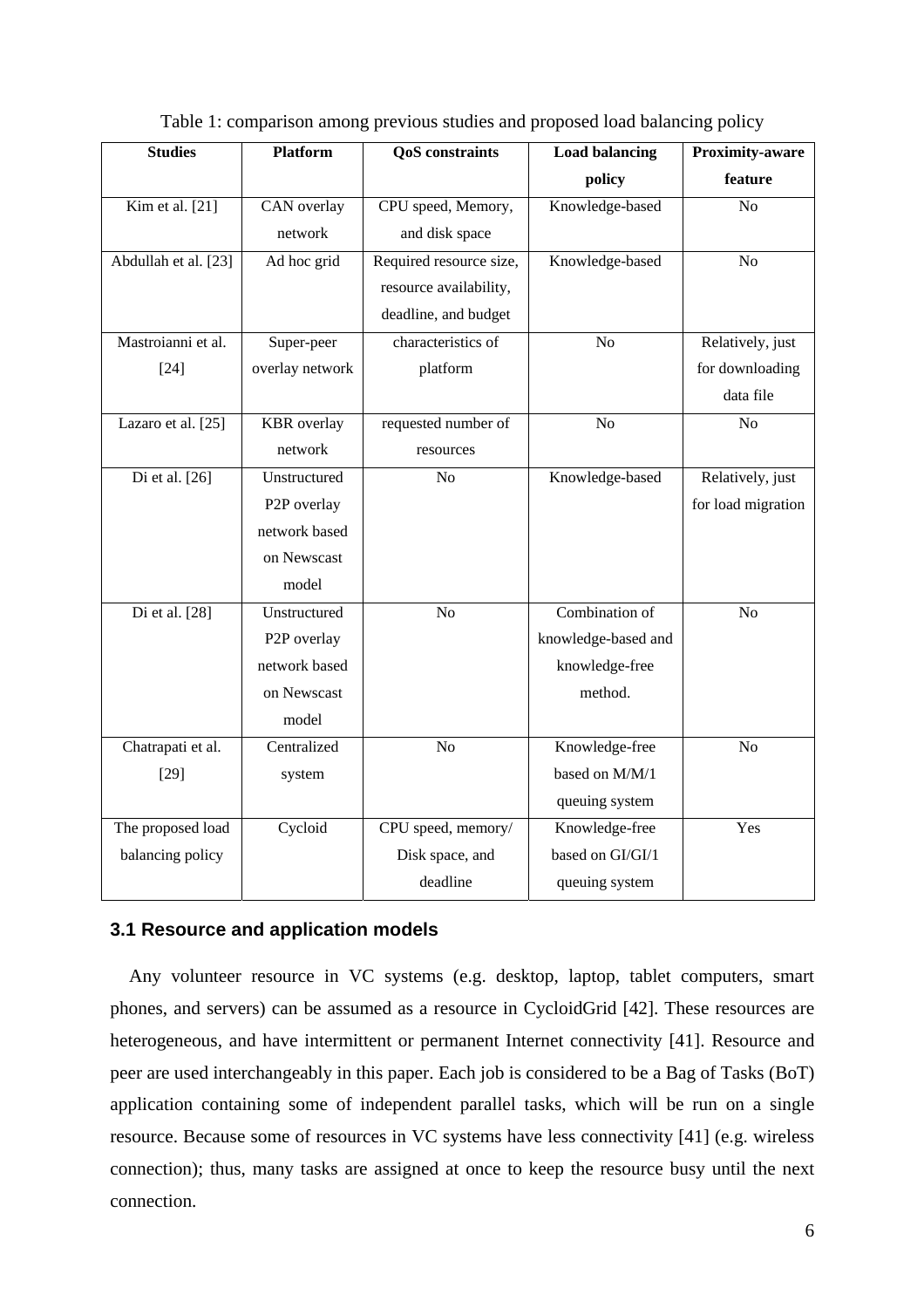| <b>Studies</b>       | <b>Platform</b>    | <b>QoS</b> constraints  | <b>Load balancing</b> | <b>Proximity-aware</b> |
|----------------------|--------------------|-------------------------|-----------------------|------------------------|
|                      |                    |                         | policy                | feature                |
| Kim et al. [21]      | CAN overlay        | CPU speed, Memory,      | Knowledge-based       | N <sub>o</sub>         |
|                      | network            | and disk space          |                       |                        |
| Abdullah et al. [23] | Ad hoc grid        | Required resource size, | Knowledge-based       | N <sub>o</sub>         |
|                      |                    | resource availability,  |                       |                        |
|                      |                    | deadline, and budget    |                       |                        |
| Mastroianni et al.   | Super-peer         | characteristics of      | N <sub>o</sub>        | Relatively, just       |
| $[24]$               | overlay network    | platform                |                       | for downloading        |
|                      |                    |                         |                       | data file              |
| Lazaro et al. [25]   | <b>KBR</b> overlay | requested number of     | N <sub>o</sub>        | N <sub>o</sub>         |
|                      | network            | resources               |                       |                        |
| Di et al. [26]       | Unstructured       | N <sub>o</sub>          | Knowledge-based       | Relatively, just       |
|                      | P2P overlay        |                         |                       | for load migration     |
|                      | network based      |                         |                       |                        |
|                      | on Newscast        |                         |                       |                        |
|                      | model              |                         |                       |                        |
| Di et al. [28]       | Unstructured       | N <sub>o</sub>          | Combination of        | N <sub>o</sub>         |
|                      | P2P overlay        |                         | knowledge-based and   |                        |
|                      | network based      |                         | knowledge-free        |                        |
|                      | on Newscast        |                         | method.               |                        |
|                      | model              |                         |                       |                        |
| Chatrapati et al.    | Centralized        | N <sub>o</sub>          | Knowledge-free        | N <sub>o</sub>         |
| $[29]$               | system             |                         | based on M/M/1        |                        |
|                      |                    |                         | queuing system        |                        |
| The proposed load    | Cycloid            | CPU speed, memory/      | Knowledge-free        | Yes                    |
| balancing policy     |                    | Disk space, and         | based on GI/GI/1      |                        |
|                      |                    | deadline                | queuing system        |                        |

Table 1: comparison among previous studies and proposed load balancing policy

### **3.1 Resource and application models**

Any volunteer resource in VC systems (e.g. desktop, laptop, tablet computers, smart phones, and servers) can be assumed as a resource in CycloidGrid [42]. These resources are heterogeneous, and have intermittent or permanent Internet connectivity [41]. Resource and peer are used interchangeably in this paper. Each job is considered to be a Bag of Tasks (BoT) application containing some of independent parallel tasks, which will be run on a single resource. Because some of resources in VC systems have less connectivity [41] (e.g. wireless connection); thus, many tasks are assigned at once to keep the resource busy until the next connection.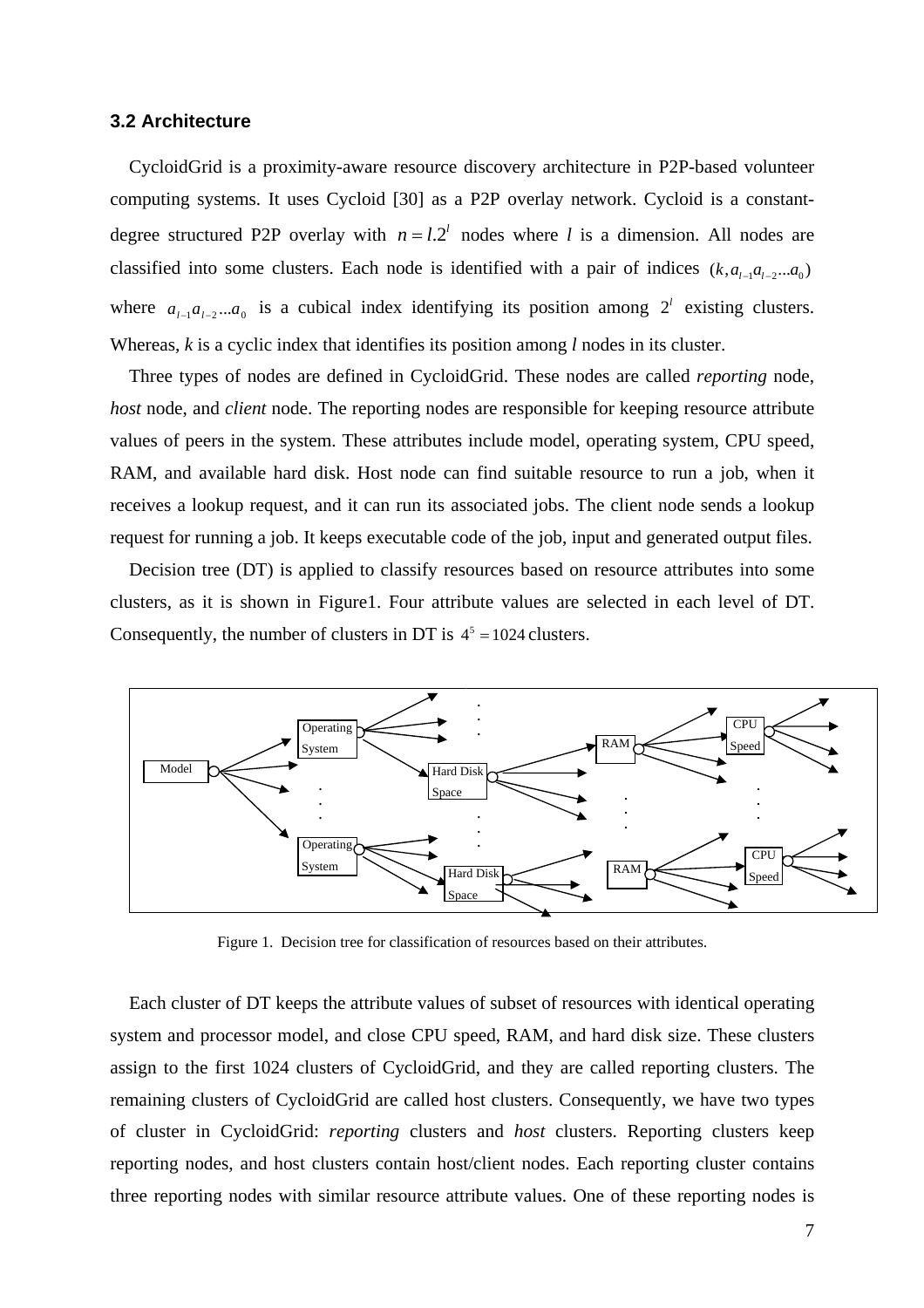### **3.2 Architecture**

CycloidGrid is a proximity-aware resource discovery architecture in P2P-based volunteer computing systems. It uses Cycloid [30] as a P2P overlay network. Cycloid is a constantdegree structured P2P overlay with  $n = l \cdot 2^l$  nodes where *l* is a dimension. All nodes are classified into some clusters. Each node is identified with a pair of indices  $(k, a_{l-1}a_{l-2}...a_0)$ where  $a_{l-1}a_{l-2}...a_0$  is a cubical index identifying its position among  $2^l$  existing clusters. Whereas, *k* is a cyclic index that identifies its position among *l* nodes in its cluster.

Three types of nodes are defined in CycloidGrid. These nodes are called *reporting* node, *host* node, and *client* node. The reporting nodes are responsible for keeping resource attribute values of peers in the system. These attributes include model, operating system, CPU speed, RAM, and available hard disk. Host node can find suitable resource to run a job, when it receives a lookup request, and it can run its associated jobs. The client node sends a lookup request for running a job. It keeps executable code of the job, input and generated output files.

Decision tree (DT) is applied to classify resources based on resource attributes into some clusters, as it is shown in Figure1. Four attribute values are selected in each level of DT. Consequently, the number of clusters in DT is  $4^5 = 1024$  clusters.



Figure 1. Decision tree for classification of resources based on their attributes.

Each cluster of DT keeps the attribute values of subset of resources with identical operating system and processor model, and close CPU speed, RAM, and hard disk size. These clusters assign to the first 1024 clusters of CycloidGrid, and they are called reporting clusters. The remaining clusters of CycloidGrid are called host clusters. Consequently, we have two types of cluster in CycloidGrid: *reporting* clusters and *host* clusters. Reporting clusters keep reporting nodes, and host clusters contain host/client nodes. Each reporting cluster contains three reporting nodes with similar resource attribute values. One of these reporting nodes is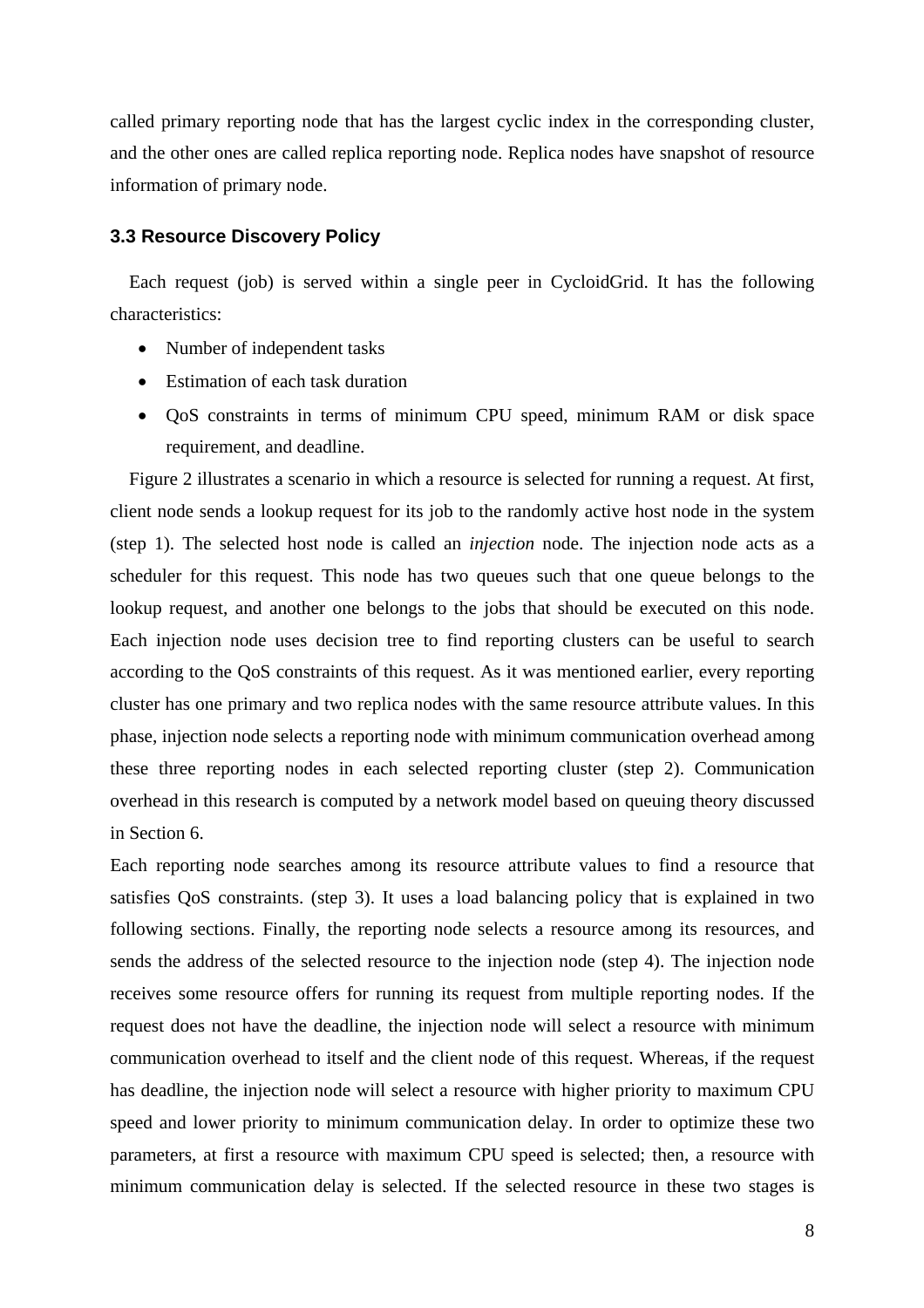called primary reporting node that has the largest cyclic index in the corresponding cluster, and the other ones are called replica reporting node. Replica nodes have snapshot of resource information of primary node.

### **3.3 Resource Discovery Policy**

Each request (job) is served within a single peer in CycloidGrid. It has the following characteristics:

- Number of independent tasks
- Estimation of each task duration
- QoS constraints in terms of minimum CPU speed, minimum RAM or disk space requirement, and deadline.

Figure 2 illustrates a scenario in which a resource is selected for running a request. At first, client node sends a lookup request for its job to the randomly active host node in the system (step 1). The selected host node is called an *injection* node. The injection node acts as a scheduler for this request. This node has two queues such that one queue belongs to the lookup request, and another one belongs to the jobs that should be executed on this node. Each injection node uses decision tree to find reporting clusters can be useful to search according to the QoS constraints of this request. As it was mentioned earlier, every reporting cluster has one primary and two replica nodes with the same resource attribute values. In this phase, injection node selects a reporting node with minimum communication overhead among these three reporting nodes in each selected reporting cluster (step 2). Communication overhead in this research is computed by a network model based on queuing theory discussed in Section 6.

Each reporting node searches among its resource attribute values to find a resource that satisfies QoS constraints. (step 3). It uses a load balancing policy that is explained in two following sections. Finally, the reporting node selects a resource among its resources, and sends the address of the selected resource to the injection node (step 4). The injection node receives some resource offers for running its request from multiple reporting nodes. If the request does not have the deadline, the injection node will select a resource with minimum communication overhead to itself and the client node of this request. Whereas, if the request has deadline, the injection node will select a resource with higher priority to maximum CPU speed and lower priority to minimum communication delay. In order to optimize these two parameters, at first a resource with maximum CPU speed is selected; then, a resource with minimum communication delay is selected. If the selected resource in these two stages is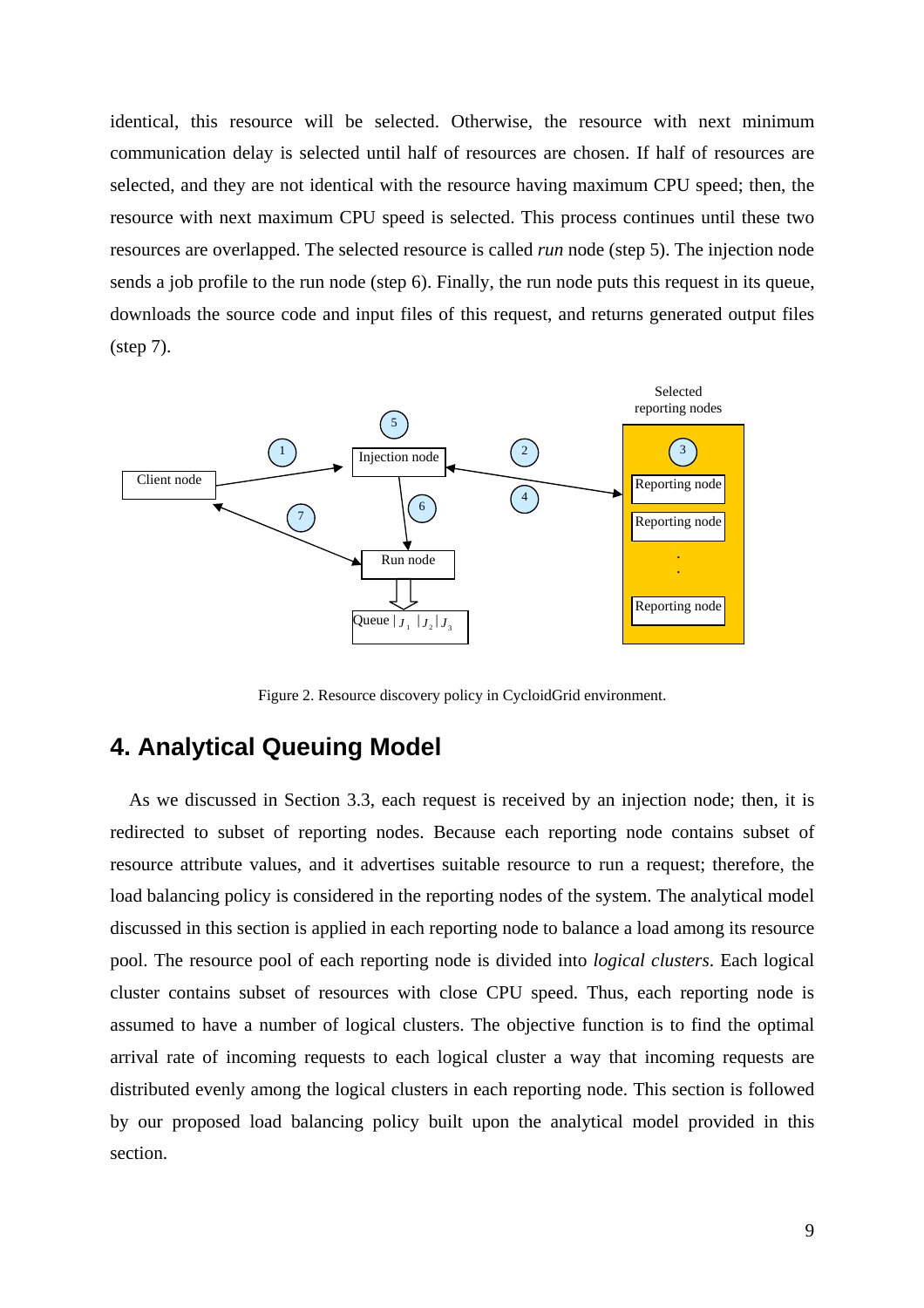identical, this resource will be selected. Otherwise, the resource with next minimum communication delay is selected until half of resources are chosen. If half of resources are selected, and they are not identical with the resource having maximum CPU speed; then, the resource with next maximum CPU speed is selected. This process continues until these two resources are overlapped. The selected resource is called *run* node (step 5). The injection node sends a job profile to the run node (step 6). Finally, the run node puts this request in its queue, downloads the source code and input files of this request, and returns generated output files (step 7).



Figure 2. Resource discovery policy in CycloidGrid environment.

# **4. Analytical Queuing Model**

As we discussed in Section 3.3, each request is received by an injection node; then, it is redirected to subset of reporting nodes. Because each reporting node contains subset of resource attribute values, and it advertises suitable resource to run a request; therefore, the load balancing policy is considered in the reporting nodes of the system. The analytical model discussed in this section is applied in each reporting node to balance a load among its resource pool. The resource pool of each reporting node is divided into *logical clusters*. Each logical cluster contains subset of resources with close CPU speed. Thus, each reporting node is assumed to have a number of logical clusters. The objective function is to find the optimal arrival rate of incoming requests to each logical cluster a way that incoming requests are distributed evenly among the logical clusters in each reporting node. This section is followed by our proposed load balancing policy built upon the analytical model provided in this section.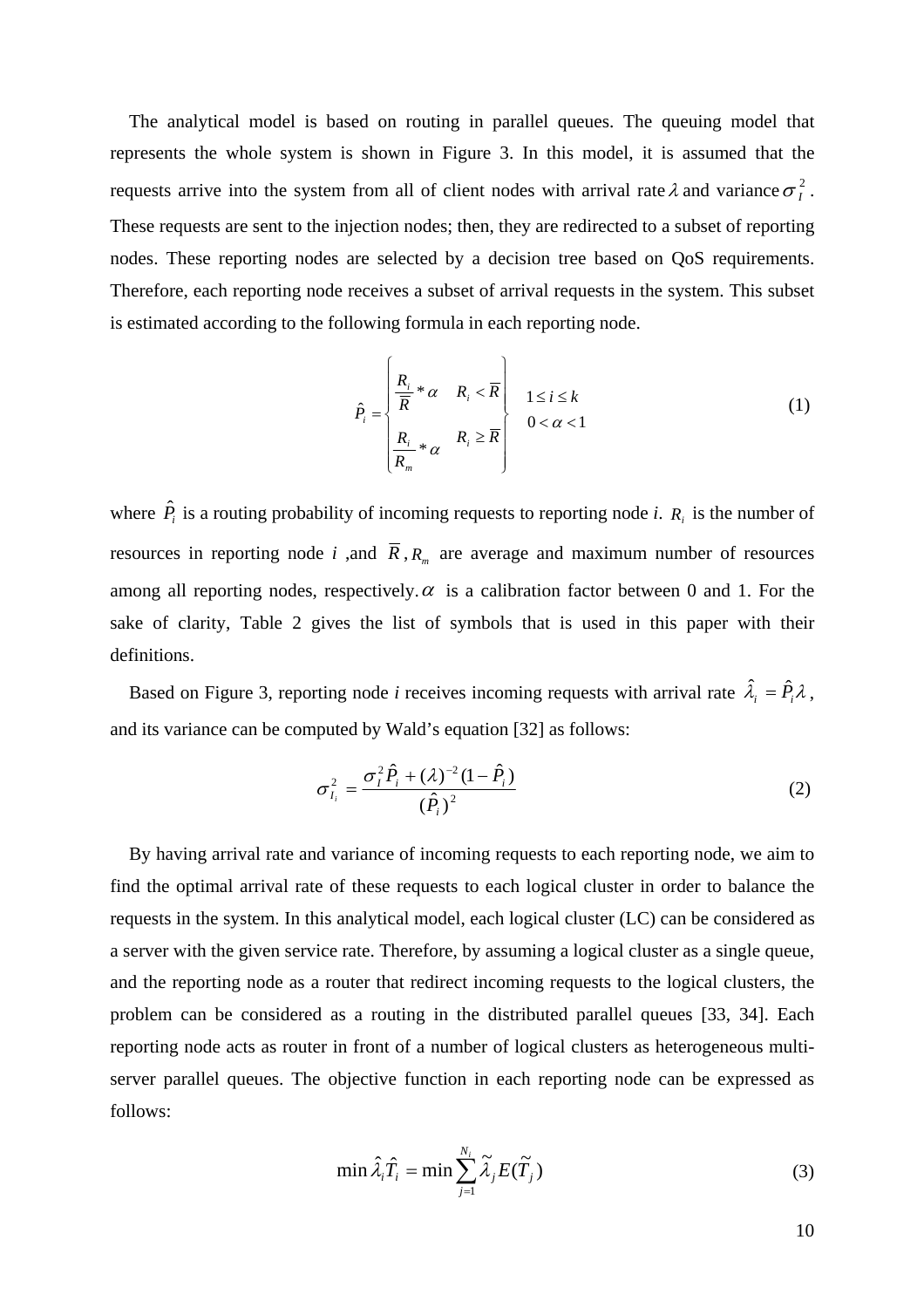The analytical model is based on routing in parallel queues. The queuing model that represents the whole system is shown in Figure 3. In this model, it is assumed that the requests arrive into the system from all of client nodes with arrival rate  $\lambda$  and variance  $\sigma_i^2$ . These requests are sent to the injection nodes; then, they are redirected to a subset of reporting nodes. These reporting nodes are selected by a decision tree based on QoS requirements. Therefore, each reporting node receives a subset of arrival requests in the system. This subset is estimated according to the following formula in each reporting node.

$$
\hat{P}_i = \begin{cases}\n\frac{R_i}{\overline{R}} * \alpha & R_i < \overline{R} \\
\frac{R_i}{\overline{R}} * \alpha & R_i \ge \overline{R} \\
\frac{R_i}{\overline{R}_m} * \alpha & R_i \ge \overline{R}\n\end{cases} \quad \text{(1)}
$$

where  $\hat{P}_i$  is a routing probability of incoming requests to reporting node *i*.  $R_i$  is the number of resources in reporting node *i*, and  $R$ ,  $R_m$  are average and maximum number of resources among all reporting nodes, respectively.  $\alpha$  is a calibration factor between 0 and 1. For the sake of clarity, Table 2 gives the list of symbols that is used in this paper with their definitions.

Based on Figure 3, reporting node *i* receives incoming requests with arrival rate  $\hat{\lambda}_i = \hat{P}_i \lambda$ , and its variance can be computed by Wald's equation [32] as follows:

$$
\sigma_{I_i}^2 = \frac{\sigma_i^2 \hat{P}_i + (\lambda)^{-2} (1 - \hat{P}_i)}{(\hat{P}_i)^2}
$$
(2)

By having arrival rate and variance of incoming requests to each reporting node, we aim to find the optimal arrival rate of these requests to each logical cluster in order to balance the requests in the system. In this analytical model, each logical cluster (LC) can be considered as a server with the given service rate. Therefore, by assuming a logical cluster as a single queue, and the reporting node as a router that redirect incoming requests to the logical clusters, the problem can be considered as a routing in the distributed parallel queues [33, 34]. Each reporting node acts as router in front of a number of logical clusters as heterogeneous multiserver parallel queues. The objective function in each reporting node can be expressed as follows:

$$
\min \hat{\lambda}_i \hat{T}_i = \min \sum_{j=1}^{N_i} \tilde{\lambda}_j E(\tilde{T}_j)
$$
\n(3)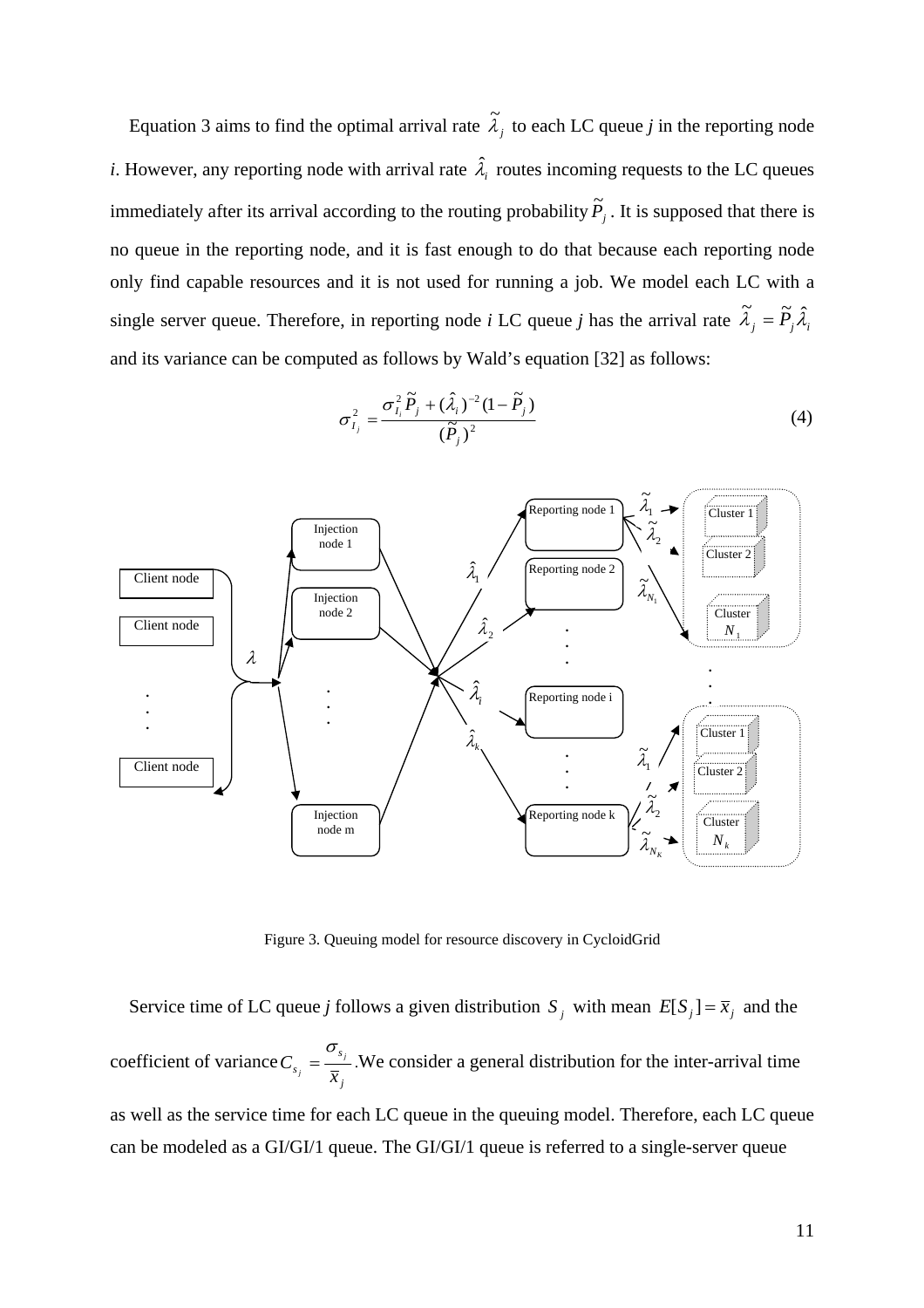Equation 3 aims to find the optimal arrival rate  $\tilde{\lambda}_j$  to each LC queue *j* in the reporting node *i*. However, any reporting node with arrival rate  $\hat{\lambda}_i$  routes incoming requests to the LC queues immediately after its arrival according to the routing probability  $\widetilde{P}_j$ . It is supposed that there is no queue in the reporting node, and it is fast enough to do that because each reporting node only find capable resources and it is not used for running a job. We model each LC with a single server queue. Therefore, in reporting node *i* LC queue *j* has the arrival rate  $\tilde{\lambda}_j = \tilde{P}_j \hat{\lambda}_i$ and its variance can be computed as follows by Wald's equation [32] as follows:

$$
\sigma_{I_j}^2 = \frac{\sigma_{I_i}^2 \widetilde{P}_j + (\widehat{\lambda}_i)^{-2} (1 - \widetilde{P}_j)}{(\widetilde{P}_j)^2}
$$
(4)



Figure 3. Queuing model for resource discovery in CycloidGrid

Service time of LC queue *j* follows a given distribution  $S_i$  with mean  $E[S_i] = \overline{x}_i$  and the coefficient of variance *j s*  $C_{s_j} = \frac{s_j}{\overline{x}_j}$  $=\frac{\sigma_{s_i}}{g}$ . We consider a general distribution for the inter-arrival time as well as the service time for each LC queue in the queuing model. Therefore, each LC queue can be modeled as a GI/GI/1 queue. The GI/GI/1 queue is referred to a single-server queue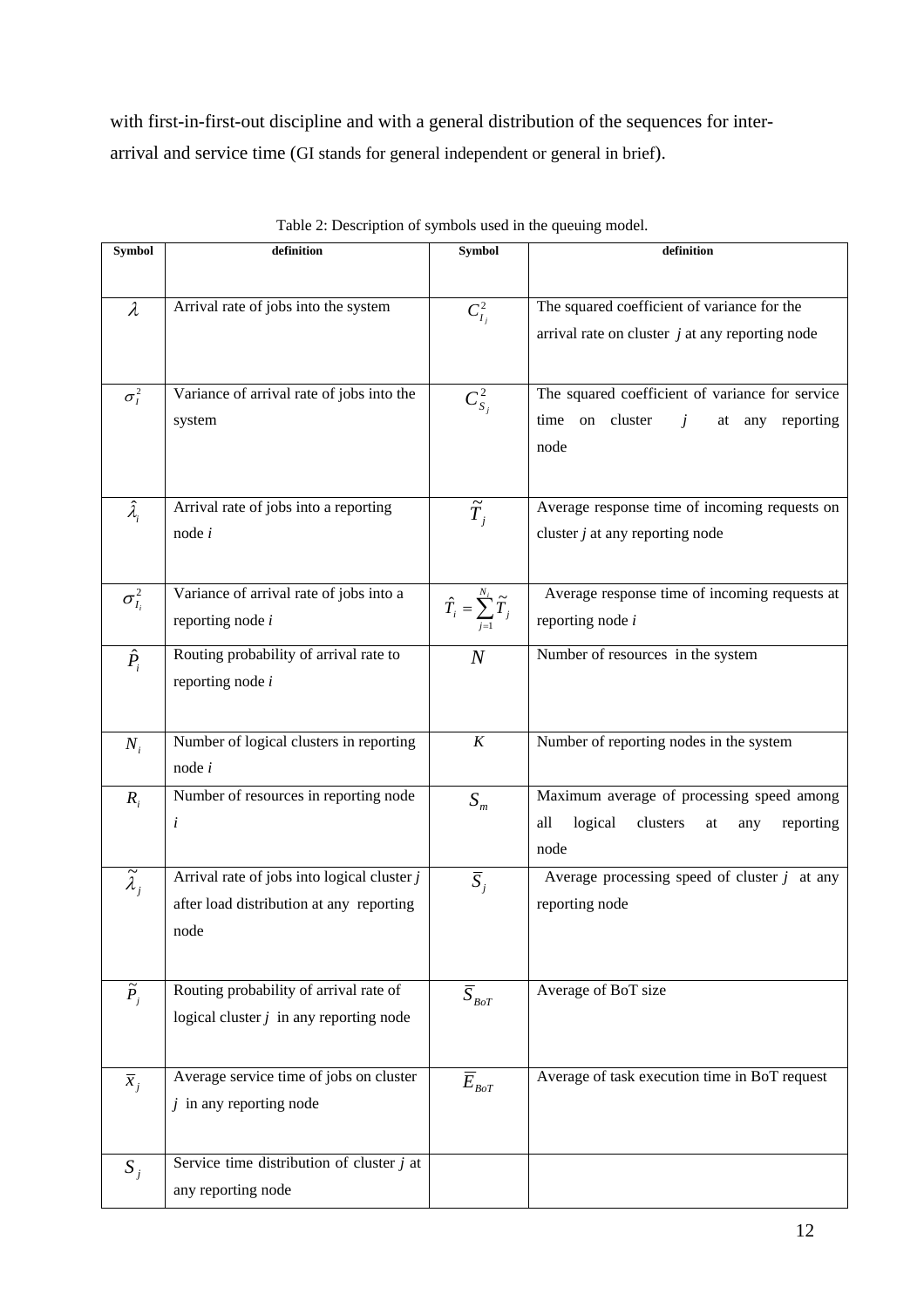with first-in-first-out discipline and with a general distribution of the sequences for interarrival and service time (GI stands for general independent or general in brief).

| <b>Symbol</b>           | definition                                    | <b>Symbol</b>                                  | definition                                           |
|-------------------------|-----------------------------------------------|------------------------------------------------|------------------------------------------------------|
|                         |                                               |                                                |                                                      |
|                         |                                               |                                                |                                                      |
| $\lambda$               | Arrival rate of jobs into the system          | $C_{I_i}^2$                                    | The squared coefficient of variance for the          |
|                         |                                               |                                                | arrival rate on cluster $j$ at any reporting node    |
|                         |                                               |                                                |                                                      |
|                         |                                               |                                                |                                                      |
| $\sigma_l^2$            | Variance of arrival rate of jobs into the     |                                                | The squared coefficient of variance for service      |
|                         |                                               | $C_{S_i}^2$                                    |                                                      |
|                         | system                                        |                                                | cluster<br>time<br>on<br>reporting<br>Ĵ<br>any<br>at |
|                         |                                               |                                                | node                                                 |
|                         |                                               |                                                |                                                      |
|                         |                                               |                                                |                                                      |
| $\hat{\lambda}_i$       | Arrival rate of jobs into a reporting         | $\widetilde{T}_{j}$                            | Average response time of incoming requests on        |
|                         | $node$ i                                      |                                                | cluster $j$ at any reporting node                    |
|                         |                                               |                                                |                                                      |
|                         |                                               |                                                |                                                      |
|                         | Variance of arrival rate of jobs into a       |                                                | Average response time of incoming requests at        |
| $\sigma^2_{I_i}$        |                                               | $\hat{T}_i = \sum_{j=1}^{N_i} \widetilde{T}_j$ |                                                      |
|                         | reporting node $i$                            |                                                | reporting node $i$                                   |
|                         | Routing probability of arrival rate to        | $\overline{N}$                                 | Number of resources in the system                    |
| $\hat{P}_i$             |                                               |                                                |                                                      |
|                         | reporting node $i$                            |                                                |                                                      |
|                         |                                               |                                                |                                                      |
|                         |                                               |                                                |                                                      |
| $N_i$                   | Number of logical clusters in reporting       | $\cal K$                                       | Number of reporting nodes in the system              |
|                         | $node$ i                                      |                                                |                                                      |
| $R_i$                   | Number of resources in reporting node         |                                                | Maximum average of processing speed among            |
|                         |                                               | $S_m$                                          |                                                      |
|                         | $\dot{i}$                                     |                                                | all<br>logical<br>clusters<br>reporting<br>at<br>any |
|                         |                                               |                                                | node                                                 |
|                         | Arrival rate of jobs into logical cluster $j$ |                                                | Average processing speed of cluster $j$ at any       |
| $\widetilde{\lambda}_j$ |                                               | $\overline{S}_i$                               |                                                      |
|                         | after load distribution at any reporting      |                                                | reporting node                                       |
|                         | node                                          |                                                |                                                      |
|                         |                                               |                                                |                                                      |
|                         |                                               |                                                |                                                      |
| $\widetilde{P}_{i}$     | Routing probability of arrival rate of        | $S_{BoT}$                                      | Average of BoT size                                  |
|                         | logical cluster $j$ in any reporting node     |                                                |                                                      |
|                         |                                               |                                                |                                                      |
|                         |                                               |                                                |                                                      |
|                         | Average service time of jobs on cluster       |                                                | Average of task execution time in BoT request        |
| $\overline{x}_i$        |                                               | $\overline{E}_{BoT}$                           |                                                      |
|                         | $j$ in any reporting node                     |                                                |                                                      |
|                         |                                               |                                                |                                                      |
|                         |                                               |                                                |                                                      |
| $S_j$                   | Service time distribution of cluster $j$ at   |                                                |                                                      |
|                         | any reporting node                            |                                                |                                                      |

Table 2: Description of symbols used in the queuing model.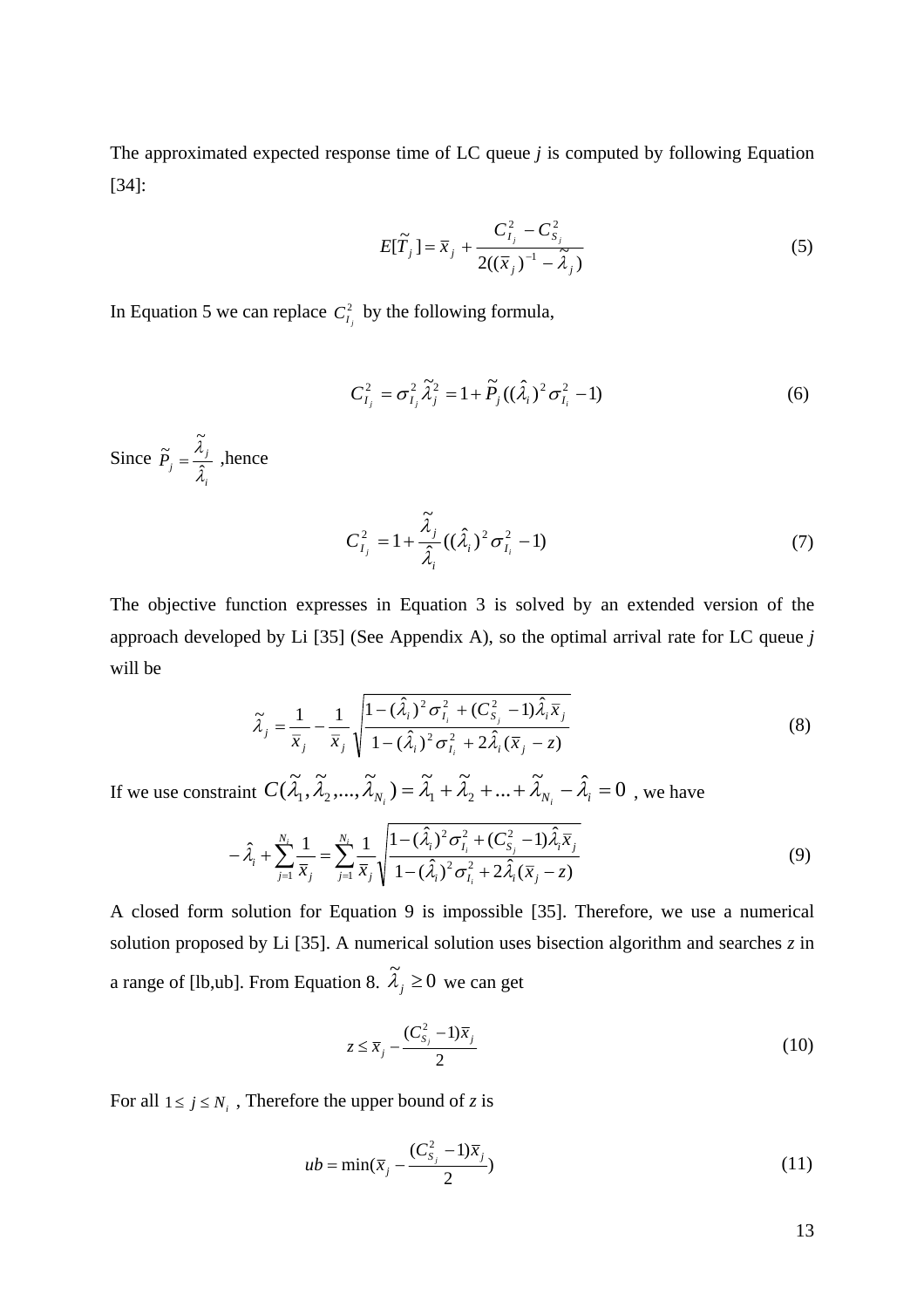The approximated expected response time of LC queue *j* is computed by following Equation [34]:

$$
E[\widetilde{T}_j] = \overline{x}_j + \frac{C_{I_j}^2 - C_{S_j}^2}{2((\overline{x}_j)^{-1} - \widetilde{\lambda}_j)}
$$
(5)

In Equation 5 we can replace  $C_{i_j}^2$  by the following formula,

$$
C_{I_j}^2 = \sigma_{I_j}^2 \tilde{\lambda}_j^2 = 1 + \tilde{P}_j((\hat{\lambda}_i)^2 \sigma_{I_i}^2 - 1)
$$
 (6)

Since *i*  $\widetilde{P}_j = \frac{\lambda_j}{\hat{\lambda}_j}$ λ  $\widetilde{P}_j = \frac{\widetilde{\lambda}_j}{\widehat{\lambda}}$ , hence

$$
C_{I_j}^2 = 1 + \frac{\tilde{\lambda}_j}{\hat{\lambda}_i} ((\hat{\lambda}_i)^2 \sigma_{I_i}^2 - 1)
$$
 (7)

The objective function expresses in Equation 3 is solved by an extended version of the approach developed by Li [35] (See Appendix A), so the optimal arrival rate for LC queue *j* will be

$$
\tilde{\lambda}_{j} = \frac{1}{\bar{x}_{j}} - \frac{1}{\bar{x}_{j}} \sqrt{\frac{1 - (\hat{\lambda}_{i})^{2} \sigma_{I_{i}}^{2} + (C_{S_{j}}^{2} - 1) \hat{\lambda}_{i} \bar{x}_{j}}{1 - (\hat{\lambda}_{i})^{2} \sigma_{I_{i}}^{2} + 2 \hat{\lambda}_{i} (\bar{x}_{j} - z)}}
$$
(8)

If we use constraint  $C(\tilde{\lambda}_1, \tilde{\lambda}_2, ..., \tilde{\lambda}_{N_i}) = \tilde{\lambda}_1 + \tilde{\lambda}_2 + ... + \tilde{\lambda}_{N_i} - \hat{\lambda}_i = 0$ , we have

$$
-\hat{\lambda}_{i} + \sum_{j=1}^{N_{i}} \frac{1}{\bar{x}_{j}} = \sum_{j=1}^{N_{i}} \frac{1}{\bar{x}_{j}} \sqrt{\frac{1 - (\hat{\lambda}_{i})^{2} \sigma_{I_{i}}^{2} + (C_{S_{j}}^{2} - 1) \hat{\lambda}_{i} \bar{x}_{j}}{1 - (\hat{\lambda}_{i})^{2} \sigma_{I_{i}}^{2} + 2 \hat{\lambda}_{i} (\bar{x}_{j} - z)}}
$$
(9)

A closed form solution for Equation 9 is impossible [35]. Therefore, we use a numerical solution proposed by Li [35]. A numerical solution uses bisection algorithm and searches *z* in a range of [lb,ub]. From Equation 8.  $\tilde{\lambda}_j \ge 0$  we can get

$$
z \le \overline{x}_j - \frac{(C_{s_j}^2 - 1)\overline{x}_j}{2} \tag{10}
$$

For all  $1 \le j \le N_i$ , Therefore the upper bound of *z* is

$$
ub = \min(\bar{x}_j - \frac{(C_{S_j}^2 - 1)\bar{x}_j}{2})
$$
\n(11)

13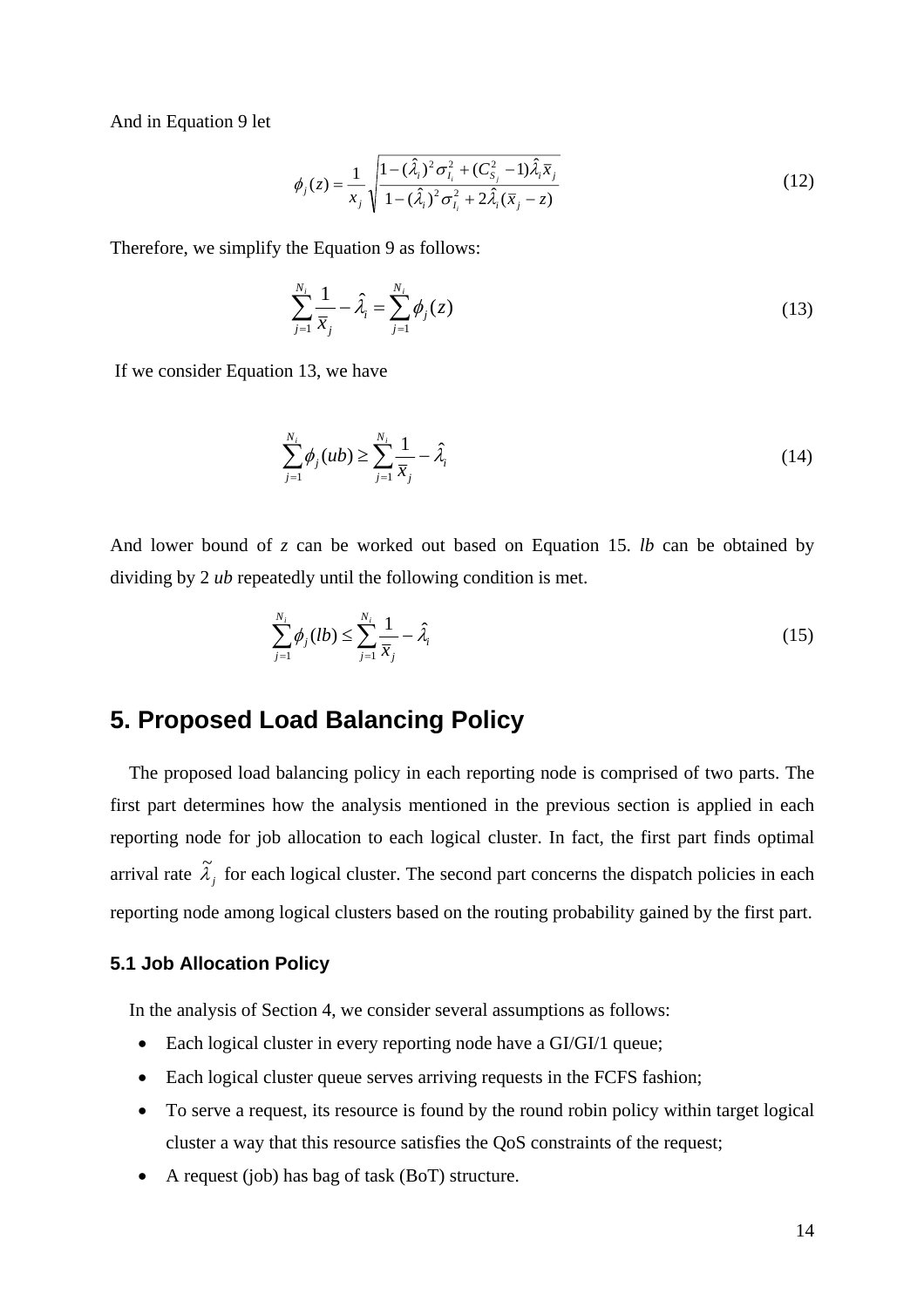And in Equation 9 let

$$
\phi_j(z) = \frac{1}{x_j} \sqrt{\frac{1 - (\hat{\lambda}_i)^2 \sigma_{I_i}^2 + (C_{S_j}^2 - 1)\hat{\lambda}_i \overline{x}_j}{1 - (\hat{\lambda}_i)^2 \sigma_{I_i}^2 + 2\hat{\lambda}_i (\overline{x}_j - z)}}
$$
(12)

Therefore, we simplify the Equation 9 as follows:

$$
\sum_{j=1}^{N_i} \frac{1}{\bar{x}_j} - \hat{\lambda}_i = \sum_{j=1}^{N_i} \phi_j(z)
$$
 (13)

If we consider Equation 13, we have

$$
\sum_{j=1}^{N_i} \phi_j (ub) \ge \sum_{j=1}^{N_i} \frac{1}{\overline{x}_j} - \hat{\lambda}_i
$$
\n(14)

And lower bound of *z* can be worked out based on Equation 15. *lb* can be obtained by dividing by 2 *ub* repeatedly until the following condition is met.

$$
\sum_{j=1}^{N_i} \phi_j(lb) \le \sum_{j=1}^{N_i} \frac{1}{\bar{x}_j} - \hat{\lambda}_i
$$
\n(15)

# **5. Proposed Load Balancing Policy**

The proposed load balancing policy in each reporting node is comprised of two parts. The first part determines how the analysis mentioned in the previous section is applied in each reporting node for job allocation to each logical cluster. In fact, the first part finds optimal arrival rate  $\tilde{\lambda}_j$  for each logical cluster. The second part concerns the dispatch policies in each reporting node among logical clusters based on the routing probability gained by the first part.

### **5.1 Job Allocation Policy**

In the analysis of Section 4, we consider several assumptions as follows:

- Each logical cluster in every reporting node have a GI/GI/1 queue;
- Each logical cluster queue serves arriving requests in the FCFS fashion;
- To serve a request, its resource is found by the round robin policy within target logical cluster a way that this resource satisfies the QoS constraints of the request;
- A request (job) has bag of task (BoT) structure.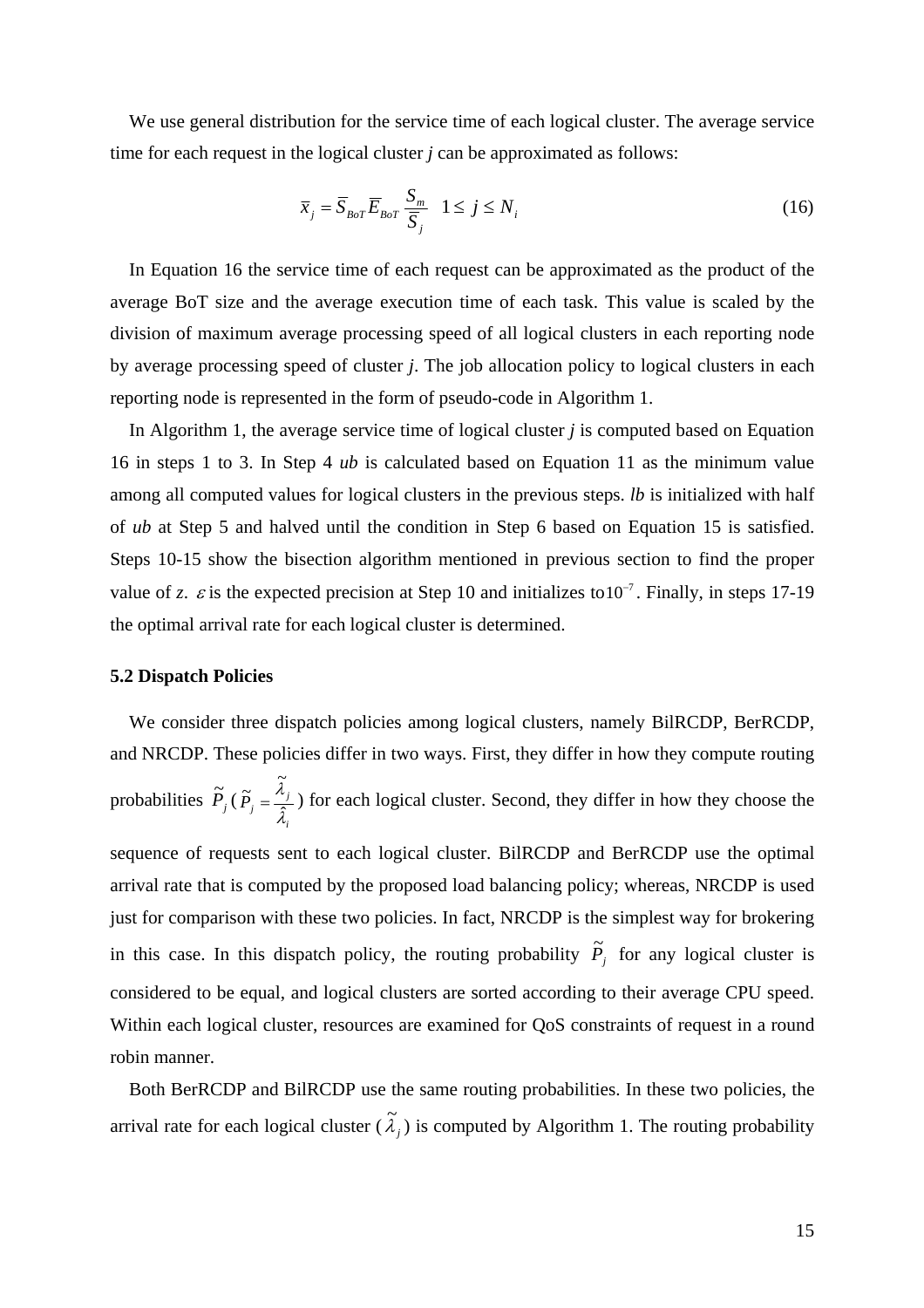We use general distribution for the service time of each logical cluster. The average service time for each request in the logical cluster *j* can be approximated as follows:

$$
\overline{x}_{j} = \overline{S}_{\text{Bor}} \overline{E}_{\text{Bor}} \frac{S_{m}}{\overline{S}_{j}} \quad 1 \leq j \leq N_{i}
$$
\n(16)

In Equation 16 the service time of each request can be approximated as the product of the average BoT size and the average execution time of each task. This value is scaled by the division of maximum average processing speed of all logical clusters in each reporting node by average processing speed of cluster *j*. The job allocation policy to logical clusters in each reporting node is represented in the form of pseudo-code in Algorithm 1.

In Algorithm 1, the average service time of logical cluster *j* is computed based on Equation 16 in steps 1 to 3. In Step 4 *ub* is calculated based on Equation 11 as the minimum value among all computed values for logical clusters in the previous steps. *lb* is initialized with half of *ub* at Step 5 and halved until the condition in Step 6 based on Equation 15 is satisfied. Steps 10-15 show the bisection algorithm mentioned in previous section to find the proper value of *z*.  $\varepsilon$  is the expected precision at Step 10 and initializes to 10<sup>-7</sup>. Finally, in steps 17-19 the optimal arrival rate for each logical cluster is determined.

### **5.2 Dispatch Policies**

We consider three dispatch policies among logical clusters, namely BilRCDP, BerRCDP, and NRCDP. These policies differ in two ways. First, they differ in how they compute routing probabilities  $\widetilde{P}_j$  ( *i*  $\widetilde{P}_j = \frac{\lambda_j}{\hat{\lambda}_j}$ λ  $\widetilde{P}_j = \frac{\widetilde{\lambda}_j}{\hat{\lambda}_j}$ ) for each logical cluster. Second, they differ in how they choose the sequence of requests sent to each logical cluster. BilRCDP and BerRCDP use the optimal arrival rate that is computed by the proposed load balancing policy; whereas, NRCDP is used just for comparison with these two policies. In fact, NRCDP is the simplest way for brokering in this case. In this dispatch policy, the routing probability  $\tilde{P}_j$  for any logical cluster is considered to be equal, and logical clusters are sorted according to their average CPU speed. Within each logical cluster, resources are examined for QoS constraints of request in a round robin manner.

Both BerRCDP and BilRCDP use the same routing probabilities. In these two policies, the arrival rate for each logical cluster  $(\tilde{\lambda}_j)$  is computed by Algorithm 1. The routing probability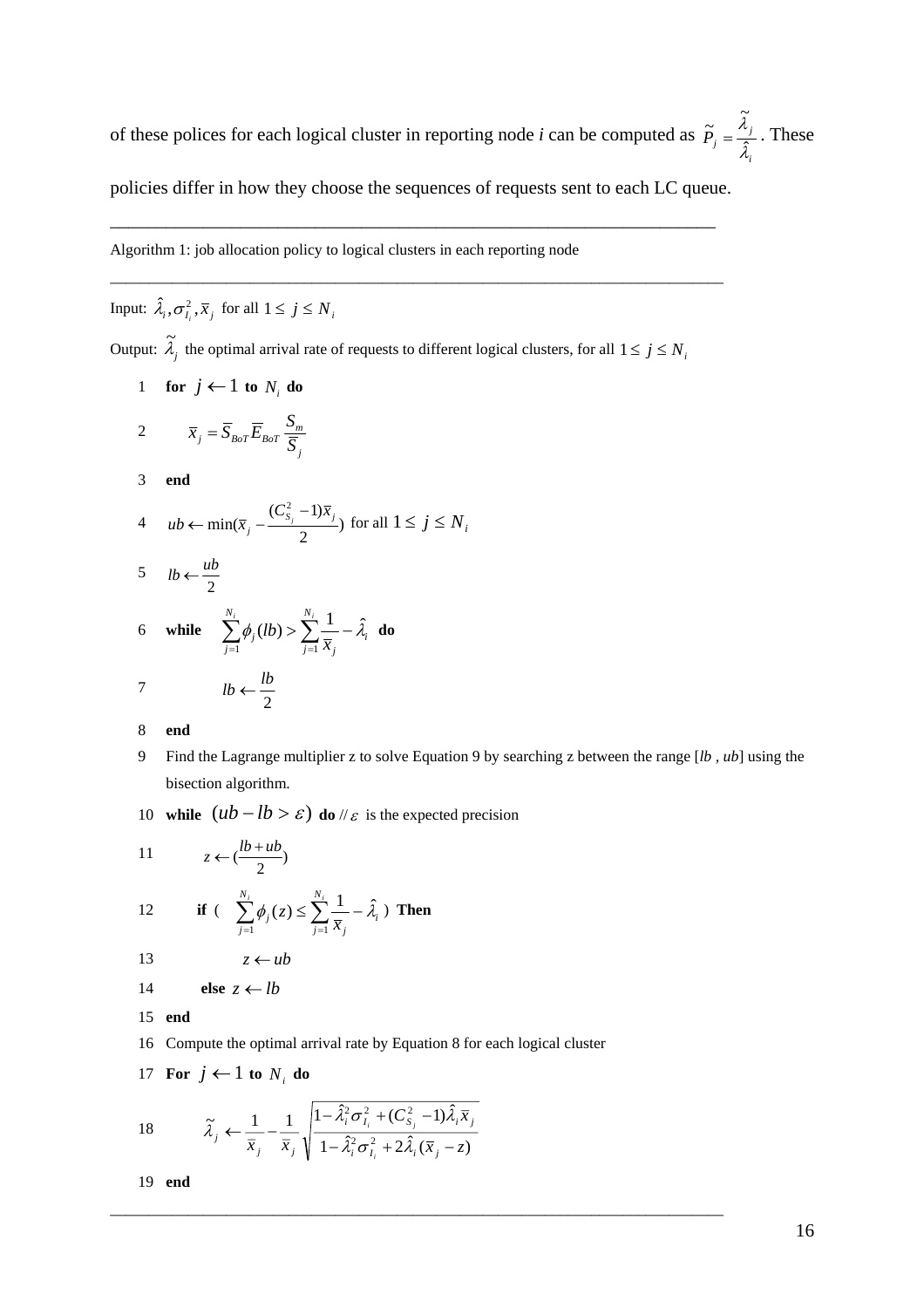of these polices for each logical cluster in reporting node *i* can be computed as *i*  $\widetilde{P}_j = \frac{\lambda_j}{\hat{\lambda}_j}$ λ  $\widetilde{P}_j = \frac{\widetilde{\lambda}_j}{\widehat{\lambda}}$ . These

policies differ in how they choose the sequences of requests sent to each LC queue. \_\_\_\_\_\_\_\_\_\_\_\_\_\_\_\_\_\_\_\_\_\_\_\_\_\_\_\_\_\_\_\_\_\_\_\_\_\_\_\_\_\_\_\_\_\_\_\_\_\_\_\_\_\_\_\_\_\_\_\_\_\_\_\_\_

\_\_\_\_\_\_\_\_\_\_\_\_\_\_\_\_\_\_\_\_\_\_\_\_\_\_\_\_\_\_\_\_\_\_\_\_\_\_\_\_\_\_\_\_\_\_\_\_\_\_\_\_\_\_\_\_\_\_\_\_\_\_\_\_\_\_\_\_\_\_\_\_\_\_\_\_\_\_\_

Algorithm 1: job allocation policy to logical clusters in each reporting node

Input:  $\hat{\lambda}_i$ ,  $\sigma_{I_i}^2$ ,  $\bar{x}_j$  for all  $1 \le j \le N_i$ 

Output:  $\tilde{\lambda}_j$  the optimal arrival rate of requests to different logical clusters, for all  $1 \le j \le N_i$ 

1 for 
$$
j \leftarrow 1
$$
 to  $N_i$  do

$$
2 \qquad \overline{X}_j = \overline{S}_{B \circ T} \overline{E}_{B \circ T} \frac{S_m}{\overline{S}_j}
$$

3 **end**

4 
$$
ub \leftarrow \min(\overline{x}_j - \frac{(C_{S_j}^2 - 1)\overline{x}_j}{2})
$$
 for all  $1 \le j \le N_i$ 

$$
5 \t lb \leftarrow \frac{ub}{2}
$$

6 **while** 
$$
\sum_{j=1}^{N_i} \phi_j(lb) > \sum_{j=1}^{N_i} \frac{1}{\bar{x}_j} - \hat{\lambda}_i \text{ do}
$$
  
7 
$$
lb \leftarrow \frac{lb}{2}
$$

$$
7\!\!
$$

- 8 **end**
- 9 Find the Lagrange multiplier z to solve Equation 9 by searching z between the range [*lb , ub*] using the bisection algorithm.
- 10 **while**  $(ub lb > \varepsilon)$  **do**  $\pi$  is the expected precision

11 
$$
z \leftarrow \left(\frac{lb + ub}{2}\right)
$$

$$
12\quad
$$

12 if 
$$
\left(\sum_{j=1}^{N_i} \phi_j(z) \le \sum_{j=1}^{N_i} \frac{1}{\overline{x}_j} - \hat{\lambda}_i \right)
$$
 Then

13 
$$
z \leftarrow ub
$$

14 else 
$$
z \leftarrow lb
$$

- 15 **end**
- 16 Compute the optimal arrival rate by Equation 8 for each logical cluster

\_\_\_\_\_\_\_\_\_\_\_\_\_\_\_\_\_\_\_\_\_\_\_\_\_\_\_\_\_\_\_\_\_\_\_\_\_\_\_\_\_\_\_\_\_\_\_\_\_\_\_\_\_\_\_\_\_\_\_\_\_\_\_\_\_\_\_\_\_\_\_\_\_\_\_\_\_\_\_

17 **For**  $j \leftarrow 1$  to  $N_i$  do

18 
$$
\widetilde{\lambda}_j \leftarrow \frac{1}{\overline{x}_j} - \frac{1}{\overline{x}_j} \sqrt{\frac{1 - \widehat{\lambda}_i^2 \sigma_{I_i}^2 + (C_{S_j}^2 - 1)\widehat{\lambda}_i \overline{x}_j}{1 - \widehat{\lambda}_i^2 \sigma_{I_i}^2 + 2\widehat{\lambda}_i (\overline{x}_j - z)}}
$$

$$
19 \quad \text{end}
$$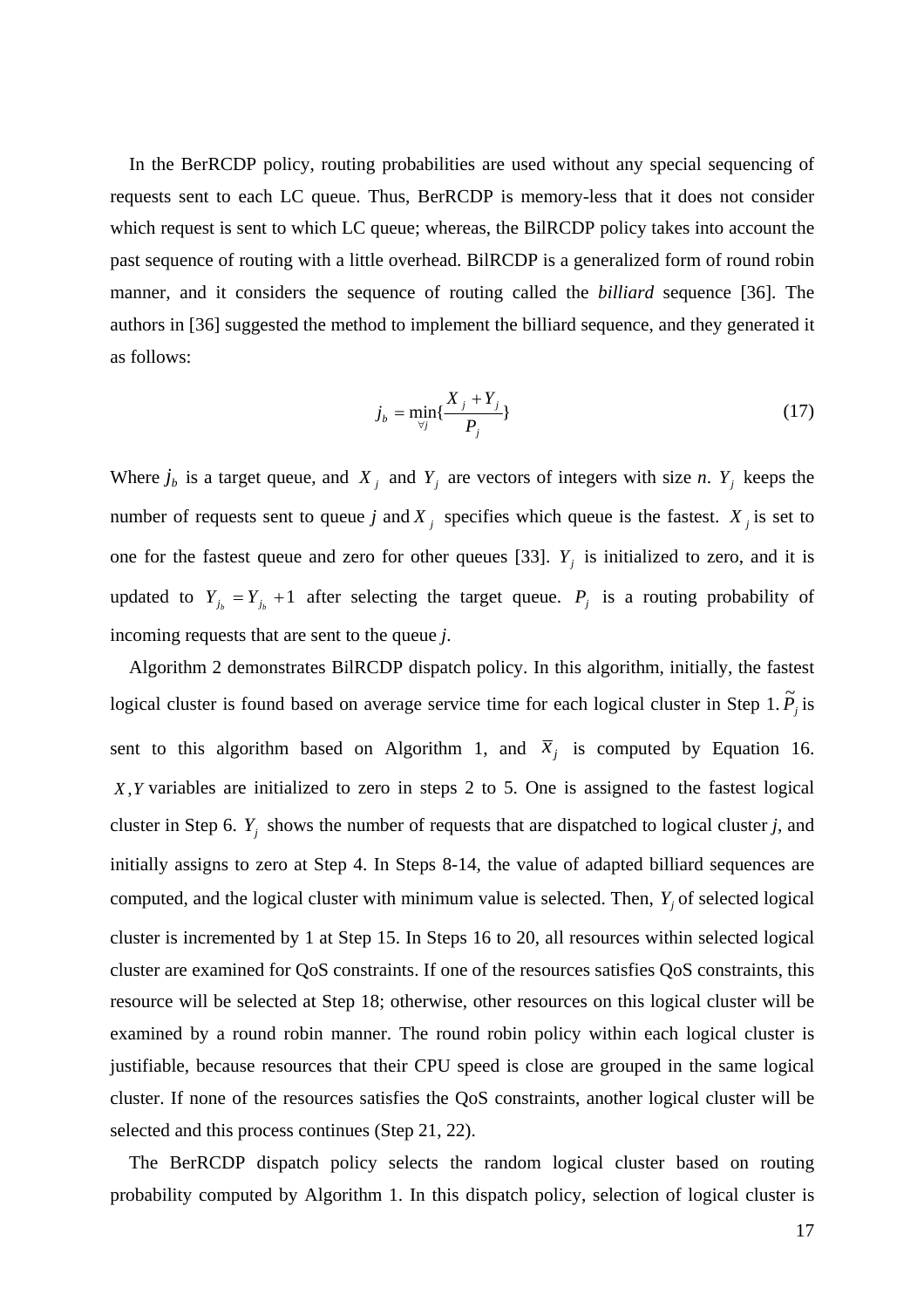In the BerRCDP policy, routing probabilities are used without any special sequencing of requests sent to each LC queue. Thus, BerRCDP is memory-less that it does not consider which request is sent to which LC queue; whereas, the BilRCDP policy takes into account the past sequence of routing with a little overhead. BilRCDP is a generalized form of round robin manner, and it considers the sequence of routing called the *billiard* sequence [36]. The authors in [36] suggested the method to implement the billiard sequence, and they generated it as follows:

$$
j_b = \min_{\forall j} \{\frac{X_j + Y_j}{P_j}\}\tag{17}
$$

Where  $j_b$  is a target queue, and  $X_j$  and  $Y_j$  are vectors of integers with size *n*.  $Y_j$  keeps the number of requests sent to queue *j* and  $X_j$  specifies which queue is the fastest.  $X_j$  is set to one for the fastest queue and zero for other queues [33].  $Y_j$  is initialized to zero, and it is updated to  $Y_{j_b} = Y_{j_b} + 1$  after selecting the target queue.  $P_j$  is a routing probability of incoming requests that are sent to the queue *j*.

Algorithm 2 demonstrates BilRCDP dispatch policy. In this algorithm, initially, the fastest logical cluster is found based on average service time for each logical cluster in Step 1.  $\tilde{P}_j$  is sent to this algorithm based on Algorithm 1, and  $\bar{x}_i$  is computed by Equation 16. variables are initialized to zero in steps 2 to 5. One is assigned to the fastest logical *X* ,*Y* cluster in Step 6.  $Y_j$  shows the number of requests that are dispatched to logical cluster *j*, and initially assigns to zero at Step 4. In Steps 8-14, the value of adapted billiard sequences are computed, and the logical cluster with minimum value is selected. Then,  $Y_j$  of selected logical cluster is incremented by 1 at Step 15. In Steps 16 to 20, all resources within selected logical cluster are examined for QoS constraints. If one of the resources satisfies QoS constraints, this resource will be selected at Step 18; otherwise, other resources on this logical cluster will be examined by a round robin manner. The round robin policy within each logical cluster is justifiable, because resources that their CPU speed is close are grouped in the same logical cluster. If none of the resources satisfies the QoS constraints, another logical cluster will be selected and this process continues (Step 21, 22).

The BerRCDP dispatch policy selects the random logical cluster based on routing probability computed by Algorithm 1. In this dispatch policy, selection of logical cluster is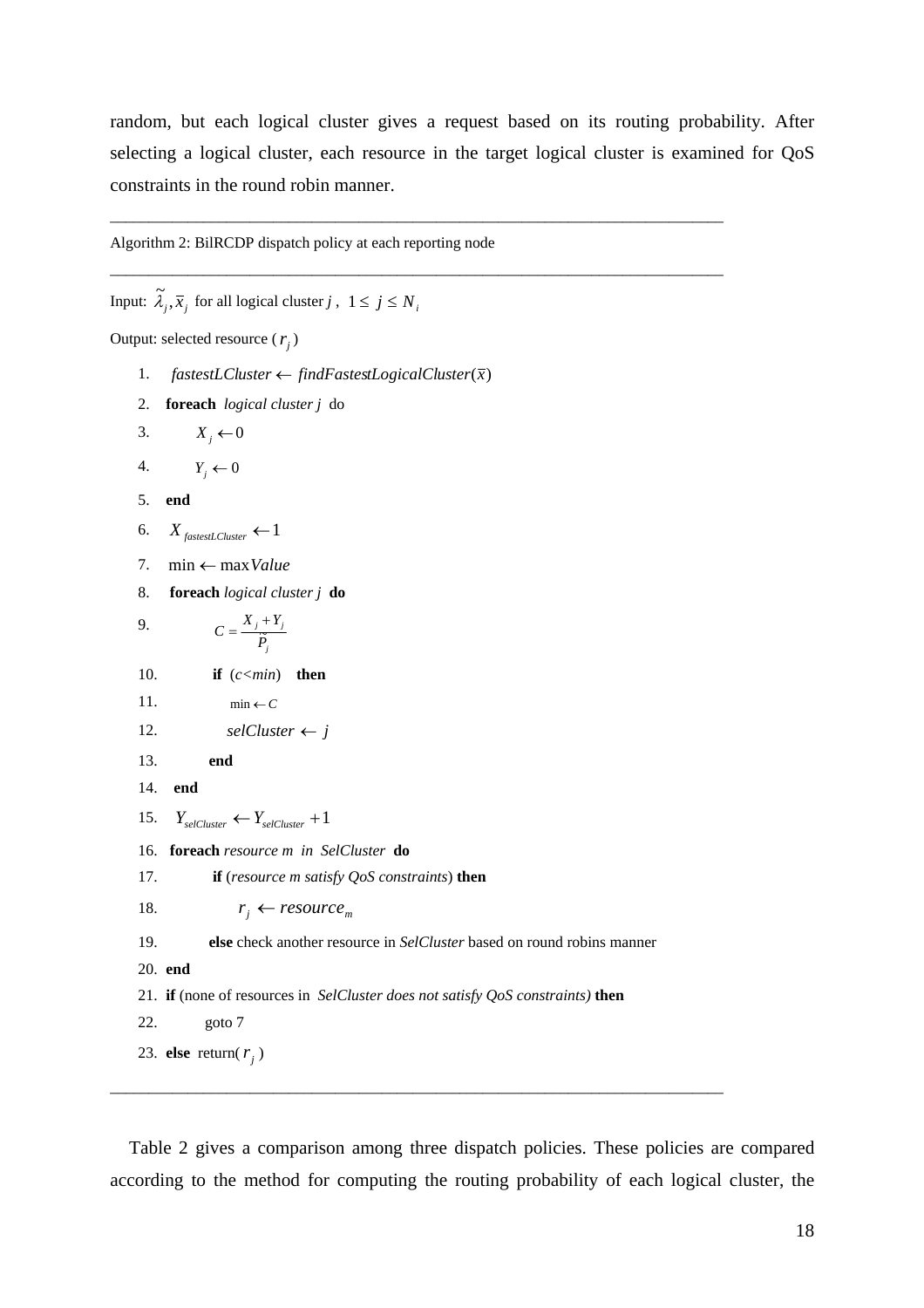random, but each logical cluster gives a request based on its routing probability. After selecting a logical cluster, each resource in the target logical cluster is examined for QoS constraints in the round robin manner.

\_\_\_\_\_\_\_\_\_\_\_\_\_\_\_\_\_\_\_\_\_\_\_\_\_\_\_\_\_\_\_\_\_\_\_\_\_\_\_\_\_\_\_\_\_\_\_\_\_\_\_\_\_\_\_\_\_\_\_\_\_\_\_\_\_\_\_\_\_\_\_\_\_\_\_\_\_\_\_

\_\_\_\_\_\_\_\_\_\_\_\_\_\_\_\_\_\_\_\_\_\_\_\_\_\_\_\_\_\_\_\_\_\_\_\_\_\_\_\_\_\_\_\_\_\_\_\_\_\_\_\_\_\_\_\_\_\_\_\_\_\_\_\_\_\_\_\_\_\_\_\_\_\_\_\_\_\_\_

#### Algorithm 2: BilRCDP dispatch policy at each reporting node

Input:  $\widetilde{\lambda}_j$ ,  $\overline{x}_j$  for all logical cluster *j*,  $1 \le j \le N_i$ 

Output: selected resource  $(r_i)$ 

- 1. *fastestLCluster* ← *findFastestLogicalCluster*( $\bar{x}$ )
- 2. **foreach** *logical cluster j* do
- 3.  $X_i \leftarrow 0$
- 4.  $Y_i \leftarrow 0$
- 5. **end**
- 6.  $X_{\text{fastestLCluster}} \leftarrow 1$
- 7. min ← max*Value*
- 8. **foreach** *logical cluster j* **do**
- 9. *j j j P*  $C = \frac{X_j + Y_j}{\tilde{p}}$ 10. **if** (*c<min*) **then** 11.  $\text{min} \leftarrow C$ 12. *selCluster*  $\leftarrow$  *j* 13. **end** 14. **end** 15.  $Y_{\text{selCluster}} \leftarrow Y_{\text{selCluster}} + 1$ 16. **foreach** *resource m in SelCluster* **do** 17. **if** (*resource m satisfy QoS constraints*) **then** 18.  $r_i \leftarrow resource_m$ 19. **else** check another resource in *SelCluster* based on round robins manner 20. **end**
- 21. **if** (none of resources in *SelCluster does not satisfy QoS constraints)* **then**

\_\_\_\_\_\_\_\_\_\_\_\_\_\_\_\_\_\_\_\_\_\_\_\_\_\_\_\_\_\_\_\_\_\_\_\_\_\_\_\_\_\_\_\_\_\_\_\_\_\_\_\_\_\_\_\_\_\_\_\_\_\_\_\_\_\_\_\_\_\_\_\_\_\_\_\_\_\_\_

22.goto 7

23. **else** return( $r_i$ )

Table 2 gives a comparison among three dispatch policies. These policies are compared according to the method for computing the routing probability of each logical cluster, the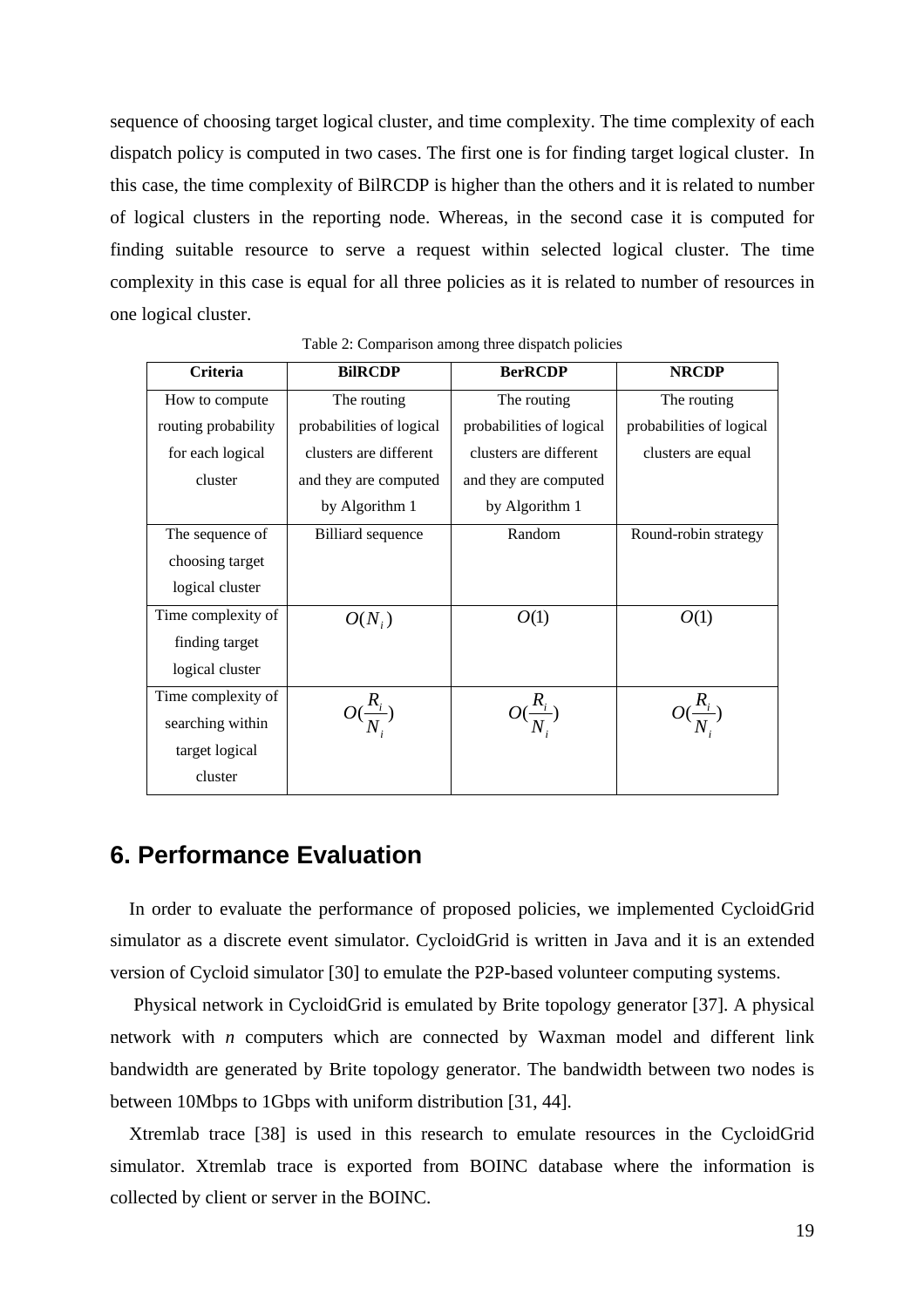sequence of choosing target logical cluster, and time complexity. The time complexity of each dispatch policy is computed in two cases. The first one is for finding target logical cluster. In this case, the time complexity of BilRCDP is higher than the others and it is related to number of logical clusters in the reporting node. Whereas, in the second case it is computed for finding suitable resource to serve a request within selected logical cluster. The time complexity in this case is equal for all three policies as it is related to number of resources in one logical cluster.

| Criteria            | <b>BilRCDP</b>           | <b>BerRCDP</b>           | <b>NRCDP</b>             |
|---------------------|--------------------------|--------------------------|--------------------------|
| How to compute      | The routing              | The routing              | The routing              |
| routing probability | probabilities of logical | probabilities of logical | probabilities of logical |
| for each logical    | clusters are different   | clusters are different   | clusters are equal       |
| cluster             | and they are computed    | and they are computed    |                          |
|                     | by Algorithm 1           | by Algorithm 1           |                          |
| The sequence of     | <b>Billiard sequence</b> | Random                   | Round-robin strategy     |
| choosing target     |                          |                          |                          |
| logical cluster     |                          |                          |                          |
| Time complexity of  | $O(N_i)$                 | O(1)                     | O(1)                     |
| finding target      |                          |                          |                          |
| logical cluster     |                          |                          |                          |
| Time complexity of  |                          | $O(\frac{R_i}{N})$       |                          |
| searching within    | $O(\frac{K_i}{N})$       |                          | $O(\frac{R_i}{N})$       |
| target logical      |                          |                          |                          |
| cluster             |                          |                          |                          |
|                     |                          |                          |                          |

#### Table 2: Comparison among three dispatch policies

# **6. Performance Evaluation**

In order to evaluate the performance of proposed policies, we implemented CycloidGrid simulator as a discrete event simulator. CycloidGrid is written in Java and it is an extended version of Cycloid simulator [30] to emulate the P2P-based volunteer computing systems.

Physical network in CycloidGrid is emulated by Brite topology generator [37]. A physical network with *n* computers which are connected by Waxman model and different link bandwidth are generated by Brite topology generator. The bandwidth between two nodes is between 10Mbps to 1Gbps with uniform distribution [31, 44].

Xtremlab trace [38] is used in this research to emulate resources in the CycloidGrid simulator. Xtremlab trace is exported from BOINC database where the information is collected by client or server in the BOINC.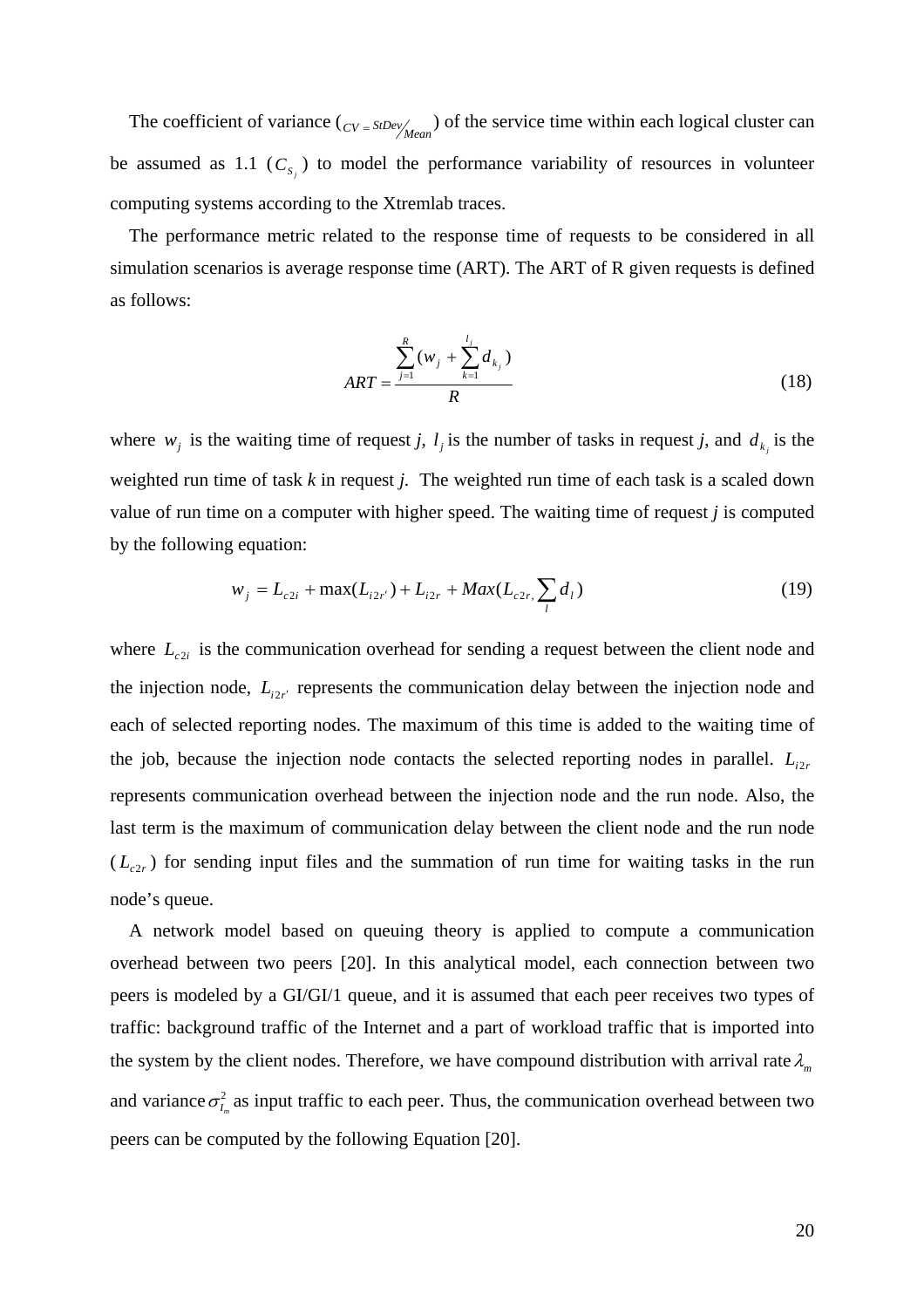The coefficient of variance  $\left(\frac{C_V = StDev}{Mean}\right)$  of the service time within each logical cluster can be assumed as 1.1  $(C_{s_j})$  to model the performance variability of resources in volunteer computing systems according to the Xtremlab traces.

The performance metric related to the response time of requests to be considered in all simulation scenarios is average response time (ART). The ART of R given requests is defined as follows:

$$
ART = \frac{\sum_{j=1}^{R} (w_j + \sum_{k=1}^{l_j} d_{k_j})}{R}
$$
 (18)

where  $w_j$  is the waiting time of request *j*,  $l_j$  is the number of tasks in request *j*, and  $d_{k_j}$  is the weighted run time of task *k* in request *j.* The weighted run time of each task is a scaled down value of run time on a computer with higher speed. The waiting time of request *j* is computed by the following equation:

$$
w_j = L_{c2i} + \max(L_{i2r'}) + L_{i2r} + \text{Max}(L_{c2r}, \sum_l d_l)
$$
\n(19)

where  $L_{c2i}$  is the communication overhead for sending a request between the client node and the injection node,  $L_{i2r'}$  represents the communication delay between the injection node and each of selected reporting nodes. The maximum of this time is added to the waiting time of the job, because the injection node contacts the selected reporting nodes in parallel.  $L_{i2r}$ represents communication overhead between the injection node and the run node. Also, the last term is the maximum of communication delay between the client node and the run node  $(L_{c2r})$  for sending input files and the summation of run time for waiting tasks in the run node's queue.

A network model based on queuing theory is applied to compute a communication overhead between two peers [20]. In this analytical model, each connection between two peers is modeled by a GI/GI/1 queue, and it is assumed that each peer receives two types of traffic: background traffic of the Internet and a part of workload traffic that is imported into the system by the client nodes. Therefore, we have compound distribution with arrival rate  $\lambda_m$ and variance  $\sigma_{I_m}^2$  as input traffic to each peer. Thus, the communication overhead between two peers can be computed by the following Equation [20].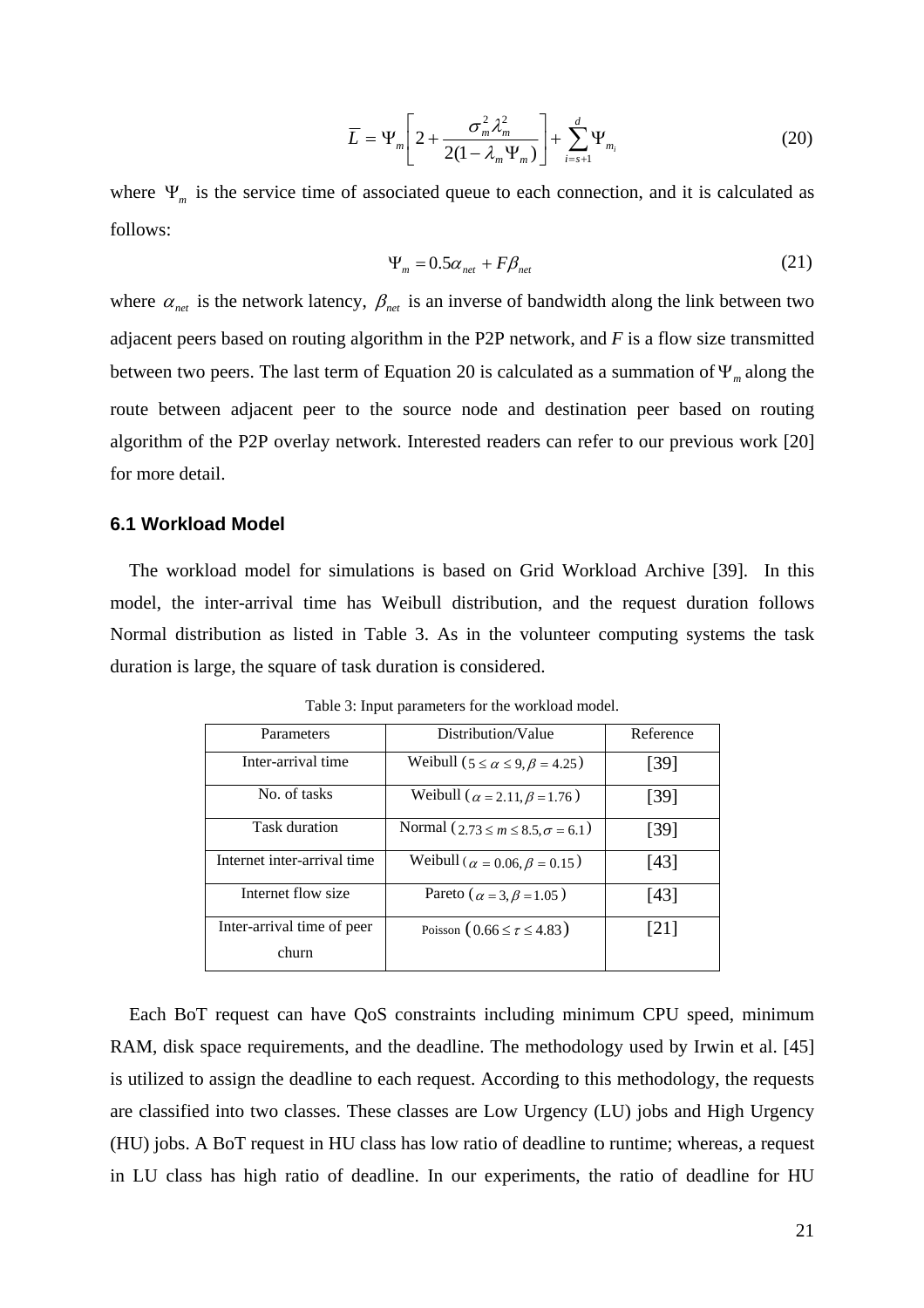$$
\overline{L} = \Psi_m \left[ 2 + \frac{\sigma_m^2 \lambda_m^2}{2(1 - \lambda_m \Psi_m)} \right] + \sum_{i=s+1}^d \Psi_{m_i}
$$
(20)

where  $\Psi_m$  is the service time of associated queue to each connection, and it is calculated as follows:

$$
\Psi_m = 0.5\alpha_{net} + F\beta_{net} \tag{21}
$$

where  $\alpha_{net}$  is the network latency,  $\beta_{net}$  is an inverse of bandwidth along the link between two adjacent peers based on routing algorithm in the P2P network, and *F* is a flow size transmitted between two peers. The last term of Equation 20 is calculated as a summation of  $\Psi_m$  along the route between adjacent peer to the source node and destination peer based on routing algorithm of the P2P overlay network. Interested readers can refer to our previous work [20] for more detail.

### **6.1 Workload Model**

The workload model for simulations is based on Grid Workload Archive [39]. In this model, the inter-arrival time has Weibull distribution, and the request duration follows Normal distribution as listed in Table 3. As in the volunteer computing systems the task duration is large, the square of task duration is considered.

| Parameters                  | Distribution/Value                                | Reference |
|-----------------------------|---------------------------------------------------|-----------|
| Inter-arrival time          | Weibull ( $5 \le \alpha \le 9$ , $\beta = 4.25$ ) | [39]      |
| No. of tasks                | Weibull ( $\alpha = 2.11, \beta = 1.76$ )         | [39]      |
| <b>Task duration</b>        | Normal $(2.73 \le m \le 8.5, \sigma = 6.1)$       | [39]      |
| Internet inter-arrival time | Weibull ( $\alpha = 0.06, \beta = 0.15$ )         | [43]      |
| Internet flow size          | Pareto ( $\alpha = 3, \beta = 1.05$ )             | [43]      |
| Inter-arrival time of peer  | Poisson $(0.66 \leq \tau \leq 4.83)$              | [21]      |
| churn                       |                                                   |           |

Table 3: Input parameters for the workload model.

Each BoT request can have QoS constraints including minimum CPU speed, minimum RAM, disk space requirements, and the deadline. The methodology used by Irwin et al. [45] is utilized to assign the deadline to each request. According to this methodology, the requests are classified into two classes. These classes are Low Urgency (LU) jobs and High Urgency (HU) jobs. A BoT request in HU class has low ratio of deadline to runtime; whereas, a request in LU class has high ratio of deadline. In our experiments, the ratio of deadline for HU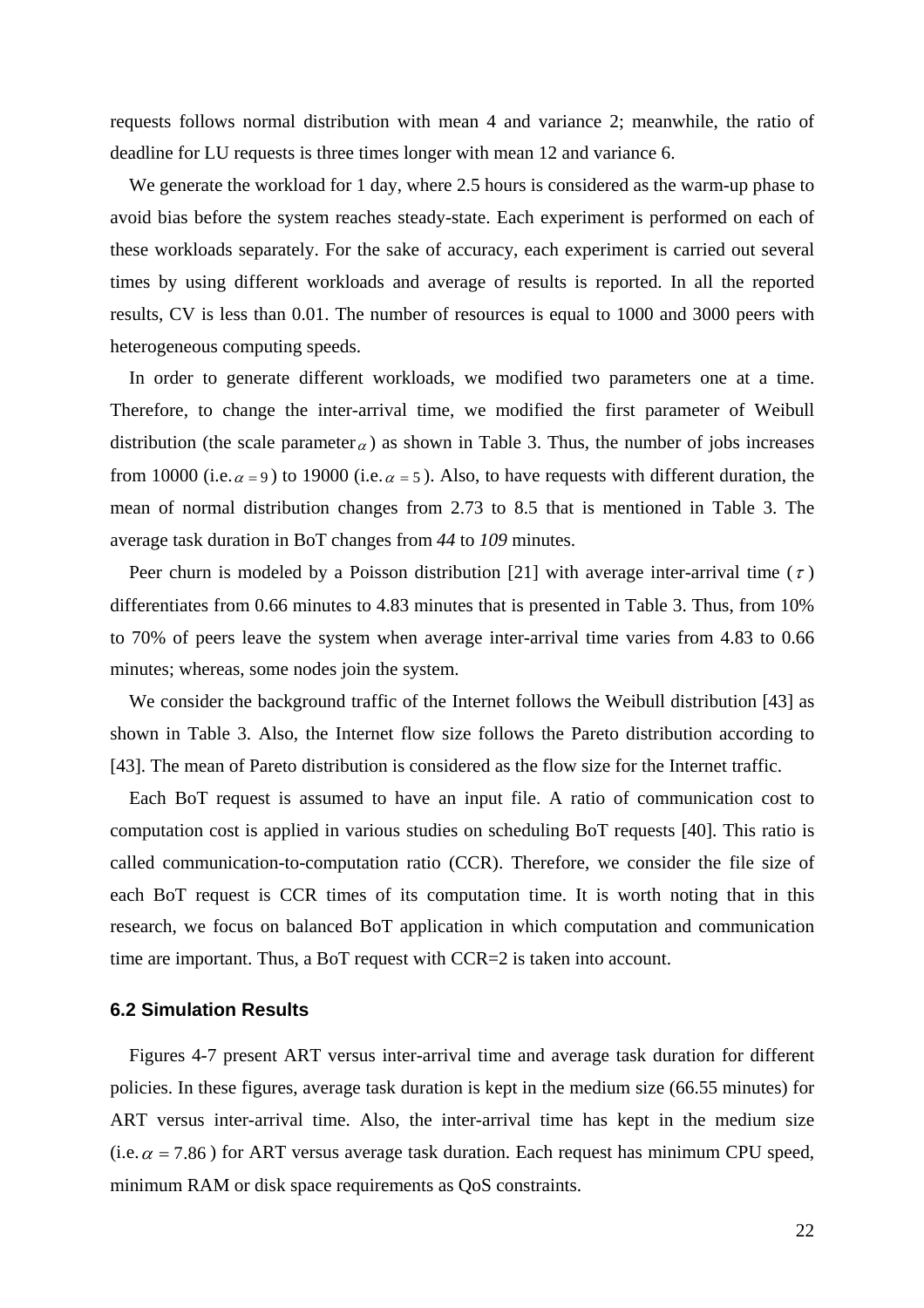requests follows normal distribution with mean 4 and variance 2; meanwhile, the ratio of deadline for LU requests is three times longer with mean 12 and variance 6.

We generate the workload for 1 day, where 2.5 hours is considered as the warm-up phase to avoid bias before the system reaches steady-state. Each experiment is performed on each of these workloads separately. For the sake of accuracy, each experiment is carried out several times by using different workloads and average of results is reported. In all the reported results, CV is less than 0.01. The number of resources is equal to 1000 and 3000 peers with heterogeneous computing speeds.

In order to generate different workloads, we modified two parameters one at a time. Therefore, to change the inter-arrival time, we modified the first parameter of Weibull distribution (the scale parameter<sub>α</sub>) as shown in Table 3. Thus, the number of jobs increases from 10000 (i.e.  $\alpha = 9$ ) to 19000 (i.e.  $\alpha = 5$ ). Also, to have requests with different duration, the mean of normal distribution changes from 2.73 to 8.5 that is mentioned in Table 3. The average task duration in BoT changes from *44* to *109* minutes.

Peer churn is modeled by a Poisson distribution [21] with average inter-arrival time ( $\tau$ ) differentiates from 0.66 minutes to 4.83 minutes that is presented in Table 3. Thus, from 10% to 70% of peers leave the system when average inter-arrival time varies from 4.83 to 0.66 minutes; whereas, some nodes join the system.

We consider the background traffic of the Internet follows the Weibull distribution [43] as shown in Table 3. Also, the Internet flow size follows the Pareto distribution according to [43]. The mean of Pareto distribution is considered as the flow size for the Internet traffic.

Each BoT request is assumed to have an input file. A ratio of communication cost to computation cost is applied in various studies on scheduling BoT requests [40]. This ratio is called communication-to-computation ratio (CCR). Therefore, we consider the file size of each BoT request is CCR times of its computation time. It is worth noting that in this research, we focus on balanced BoT application in which computation and communication time are important. Thus, a BoT request with CCR=2 is taken into account.

### **6.2 Simulation Results**

Figures 4-7 present ART versus inter-arrival time and average task duration for different policies. In these figures, average task duration is kept in the medium size (66.55 minutes) for ART versus inter-arrival time. Also, the inter-arrival time has kept in the medium size (i.e.  $\alpha$  = 7.86) for ART versus average task duration. Each request has minimum CPU speed, minimum RAM or disk space requirements as QoS constraints.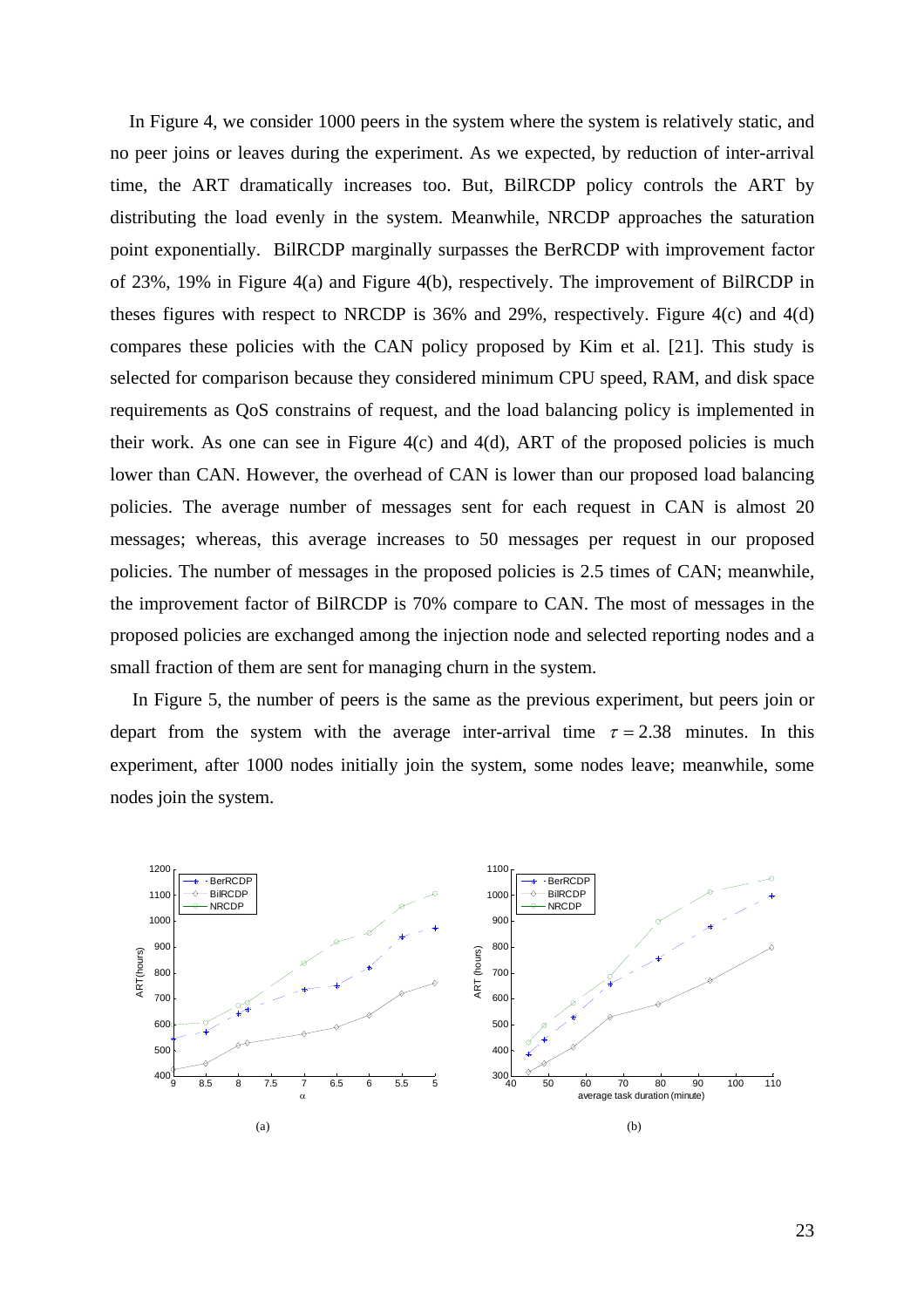In Figure 4, we consider 1000 peers in the system where the system is relatively static, and no peer joins or leaves during the experiment. As we expected, by reduction of inter-arrival time, the ART dramatically increases too. But, BilRCDP policy controls the ART by distributing the load evenly in the system. Meanwhile, NRCDP approaches the saturation point exponentially. BilRCDP marginally surpasses the BerRCDP with improvement factor of 23%, 19% in Figure 4(a) and Figure 4(b), respectively. The improvement of BilRCDP in theses figures with respect to NRCDP is 36% and 29%, respectively. Figure 4(c) and 4(d) compares these policies with the CAN policy proposed by Kim et al. [21]. This study is selected for comparison because they considered minimum CPU speed, RAM, and disk space requirements as QoS constrains of request, and the load balancing policy is implemented in their work. As one can see in Figure  $4(c)$  and  $4(d)$ , ART of the proposed policies is much lower than CAN. However, the overhead of CAN is lower than our proposed load balancing policies. The average number of messages sent for each request in CAN is almost 20 messages; whereas, this average increases to 50 messages per request in our proposed policies. The number of messages in the proposed policies is 2.5 times of CAN; meanwhile, the improvement factor of BilRCDP is 70% compare to CAN. The most of messages in the proposed policies are exchanged among the injection node and selected reporting nodes and a small fraction of them are sent for managing churn in the system.

In Figure 5, the number of peers is the same as the previous experiment, but peers join or depart from the system with the average inter-arrival time  $\tau = 2.38$  minutes. In this experiment, after 1000 nodes initially join the system, some nodes leave; meanwhile, some nodes join the system.

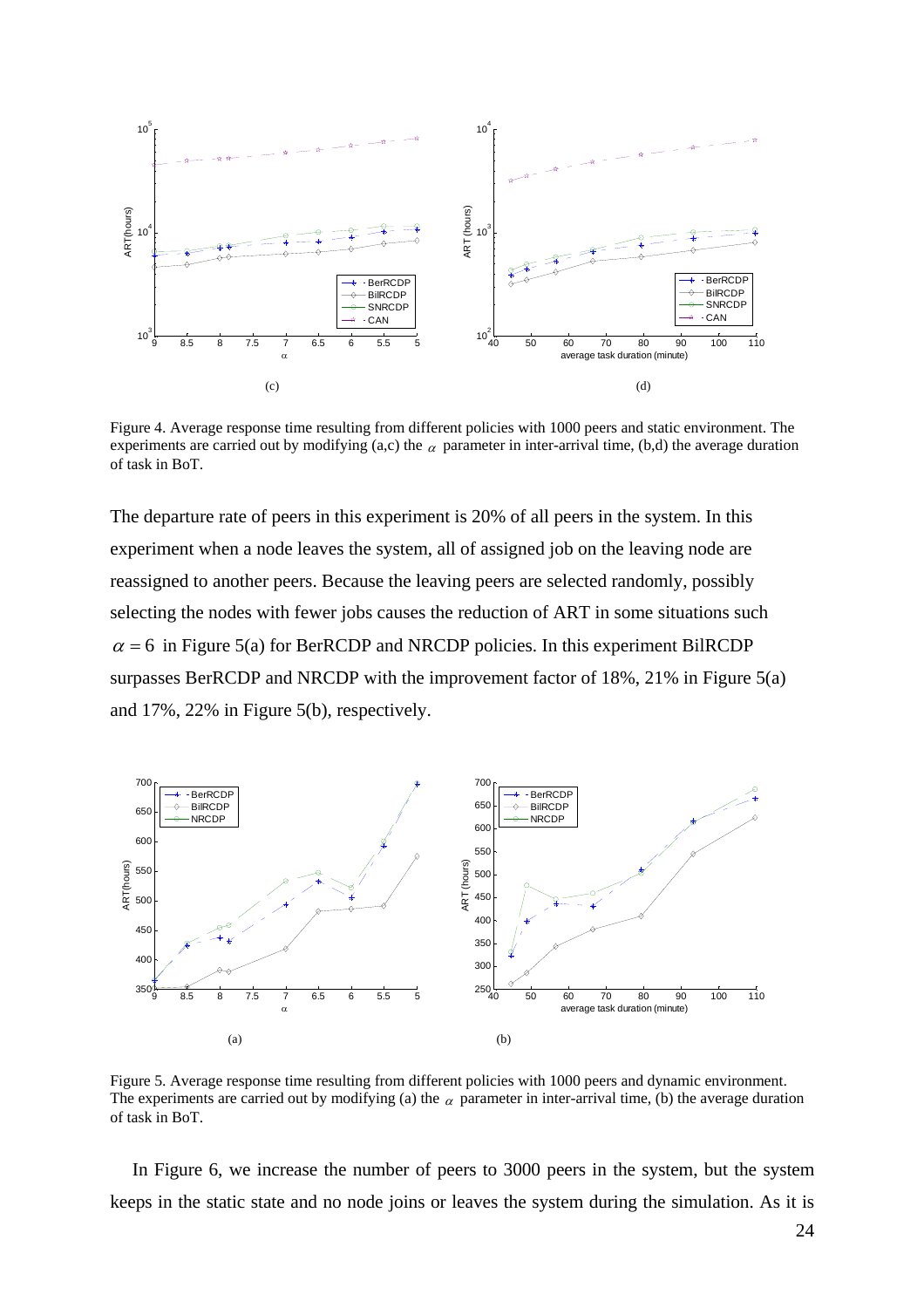

Figure 4. Average response time resulting from different policies with 1000 peers and static environment. The experiments are carried out by modifying (a,c) the  $\alpha$  parameter in inter-arrival time, (b,d) the average duration of task in BoT.

The departure rate of peers in this experiment is 20% of all peers in the system. In this experiment when a node leaves the system, all of assigned job on the leaving node are reassigned to another peers. Because the leaving peers are selected randomly, possibly selecting the nodes with fewer jobs causes the reduction of ART in some situations such  $\alpha$  = 6 in Figure 5(a) for BerRCDP and NRCDP policies. In this experiment BilRCDP surpasses BerRCDP and NRCDP with the improvement factor of 18%, 21% in Figure 5(a) and 17%, 22% in Figure 5(b), respectively.



Figure 5. Average response time resulting from different policies with 1000 peers and dynamic environment. The experiments are carried out by modifying (a) the  $\alpha$  parameter in inter-arrival time, (b) the average duration of task in BoT.

In Figure 6, we increase the number of peers to 3000 peers in the system, but the system keeps in the static state and no node joins or leaves the system during the simulation. As it is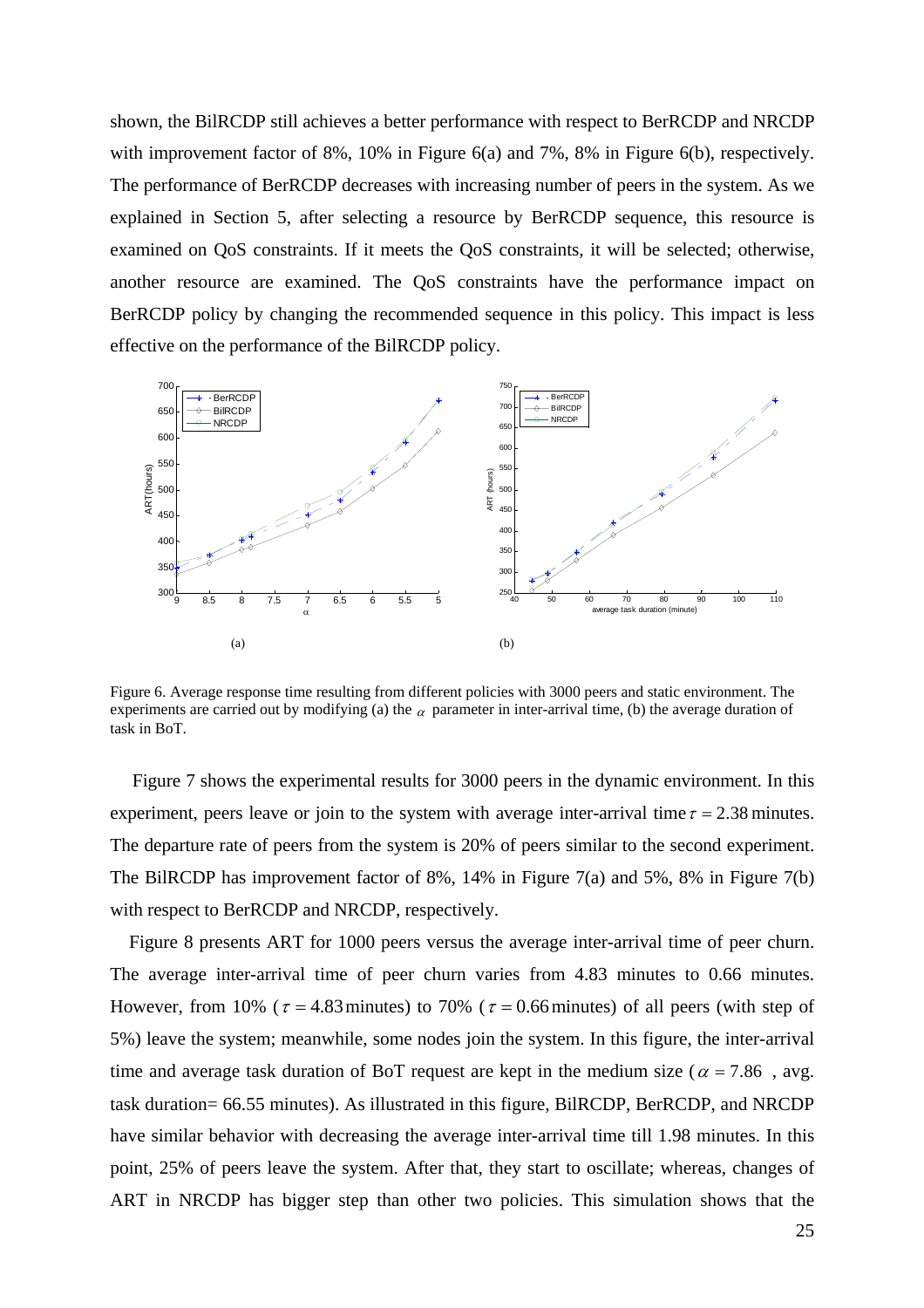shown, the BilRCDP still achieves a better performance with respect to BerRCDP and NRCDP with improvement factor of 8%, 10% in Figure 6(a) and 7%, 8% in Figure 6(b), respectively. The performance of BerRCDP decreases with increasing number of peers in the system. As we explained in Section 5, after selecting a resource by BerRCDP sequence, this resource is examined on QoS constraints. If it meets the QoS constraints, it will be selected; otherwise, another resource are examined. The QoS constraints have the performance impact on BerRCDP policy by changing the recommended sequence in this policy. This impact is less effective on the performance of the BilRCDP policy.



Figure 6. Average response time resulting from different policies with 3000 peers and static environment. The experiments are carried out by modifying (a) the  $\alpha$  parameter in inter-arrival time, (b) the average duration of task in BoT.

Figure 7 shows the experimental results for 3000 peers in the dynamic environment. In this experiment, peers leave or join to the system with average inter-arrival time  $\tau = 2.38$  minutes. The departure rate of peers from the system is 20% of peers similar to the second experiment. The BilRCDP has improvement factor of 8%, 14% in Figure 7(a) and 5%, 8% in Figure 7(b) with respect to BerRCDP and NRCDP, respectively.

Figure 8 presents ART for 1000 peers versus the average inter-arrival time of peer churn. The average inter-arrival time of peer churn varies from 4.83 minutes to 0.66 minutes. However, from 10% ( $\tau = 4.83$  minutes) to 70% ( $\tau = 0.66$  minutes) of all peers (with step of 5%) leave the system; meanwhile, some nodes join the system. In this figure, the inter-arrival time and average task duration of BoT request are kept in the medium size ( $\alpha = 7.86$ , avg. task duration= 66.55 minutes). As illustrated in this figure, BilRCDP, BerRCDP, and NRCDP have similar behavior with decreasing the average inter-arrival time till 1.98 minutes. In this point, 25% of peers leave the system. After that, they start to oscillate; whereas, changes of ART in NRCDP has bigger step than other two policies. This simulation shows that the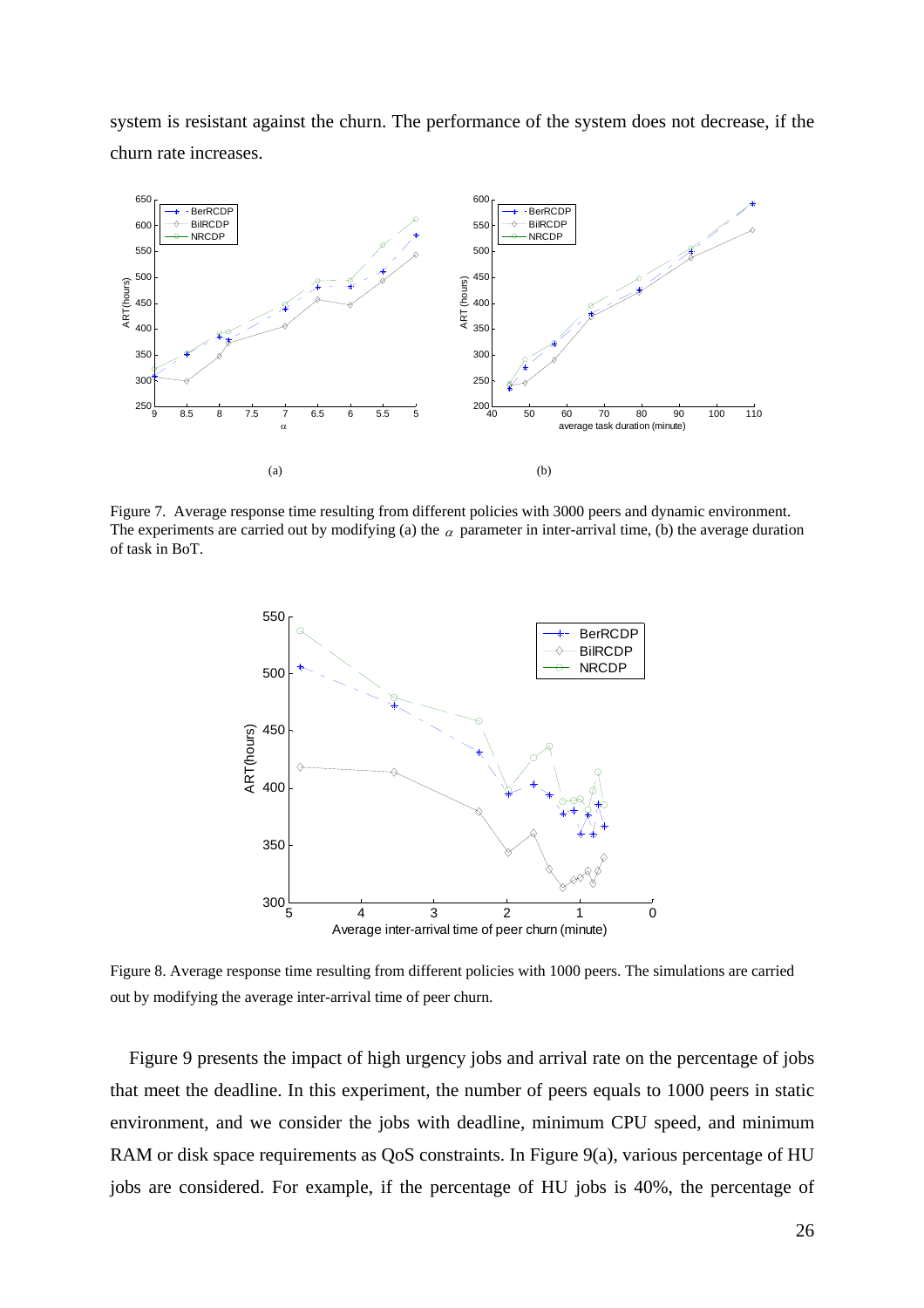system is resistant against the churn. The performance of the system does not decrease, if the churn rate increases.



Figure 7. Average response time resulting from different policies with 3000 peers and dynamic environment. The experiments are carried out by modifying (a) the  $\alpha$  parameter in inter-arrival time, (b) the average duration of task in BoT.



Figure 8. Average response time resulting from different policies with 1000 peers. The simulations are carried out by modifying the average inter-arrival time of peer churn.

Figure 9 presents the impact of high urgency jobs and arrival rate on the percentage of jobs that meet the deadline. In this experiment, the number of peers equals to 1000 peers in static environment, and we consider the jobs with deadline, minimum CPU speed, and minimum RAM or disk space requirements as QoS constraints. In Figure 9(a), various percentage of HU jobs are considered. For example, if the percentage of HU jobs is 40%, the percentage of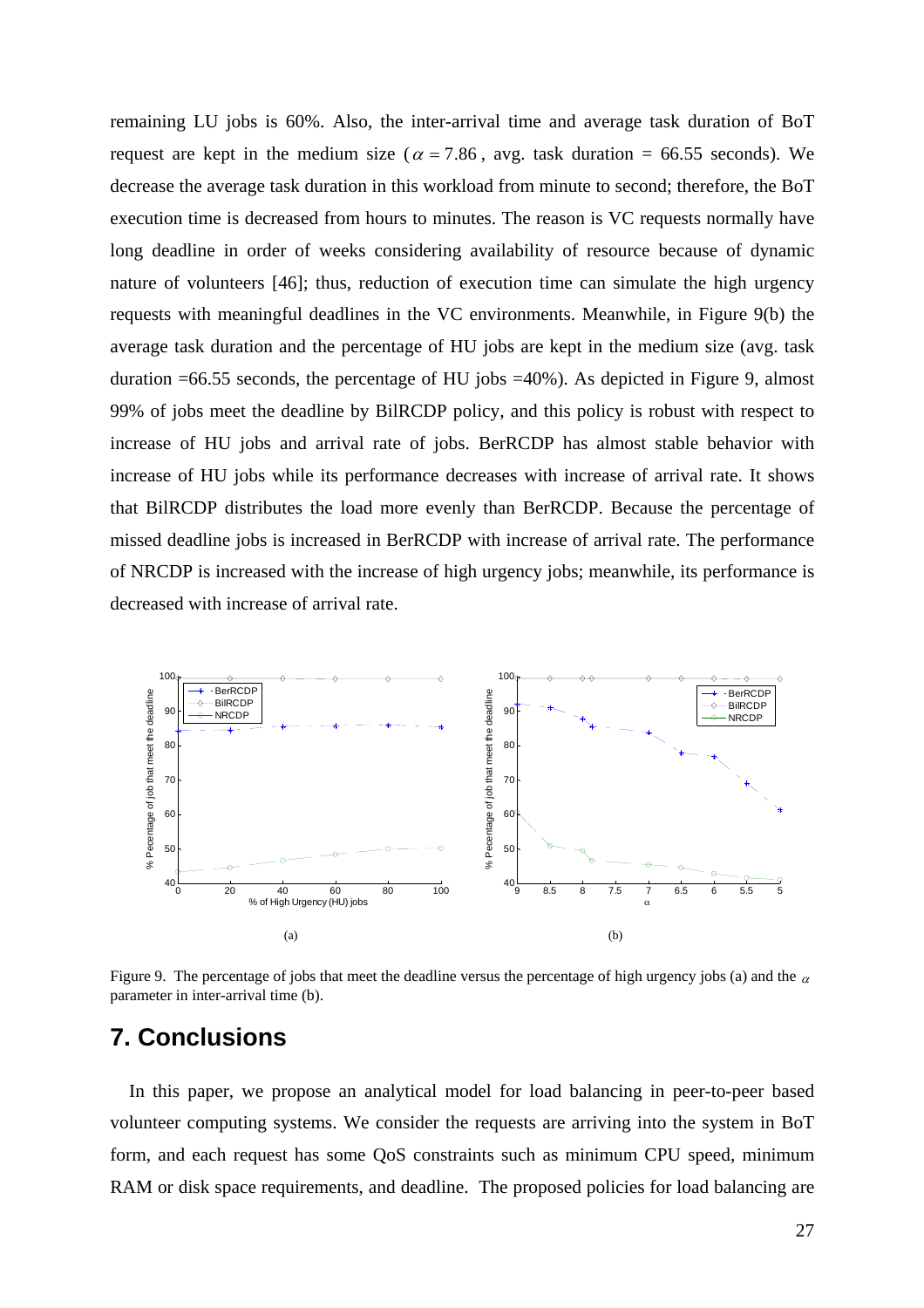remaining LU jobs is 60%. Also, the inter-arrival time and average task duration of BoT request are kept in the medium size ( $\alpha = 7.86$ , avg. task duration = 66.55 seconds). We decrease the average task duration in this workload from minute to second; therefore, the BoT execution time is decreased from hours to minutes. The reason is VC requests normally have long deadline in order of weeks considering availability of resource because of dynamic nature of volunteers [46]; thus, reduction of execution time can simulate the high urgency requests with meaningful deadlines in the VC environments. Meanwhile, in Figure 9(b) the average task duration and the percentage of HU jobs are kept in the medium size (avg. task duration  $=66.55$  seconds, the percentage of HU jobs  $=40\%$ ). As depicted in Figure 9, almost 99% of jobs meet the deadline by BilRCDP policy, and this policy is robust with respect to increase of HU jobs and arrival rate of jobs. BerRCDP has almost stable behavior with increase of HU jobs while its performance decreases with increase of arrival rate. It shows that BilRCDP distributes the load more evenly than BerRCDP. Because the percentage of missed deadline jobs is increased in BerRCDP with increase of arrival rate. The performance of NRCDP is increased with the increase of high urgency jobs; meanwhile, its performance is decreased with increase of arrival rate.



Figure 9. The percentage of jobs that meet the deadline versus the percentage of high urgency jobs (a) and the  $\alpha$ parameter in inter-arrival time (b).

# **7. Conclusions**

In this paper, we propose an analytical model for load balancing in peer-to-peer based volunteer computing systems. We consider the requests are arriving into the system in BoT form, and each request has some QoS constraints such as minimum CPU speed, minimum RAM or disk space requirements, and deadline. The proposed policies for load balancing are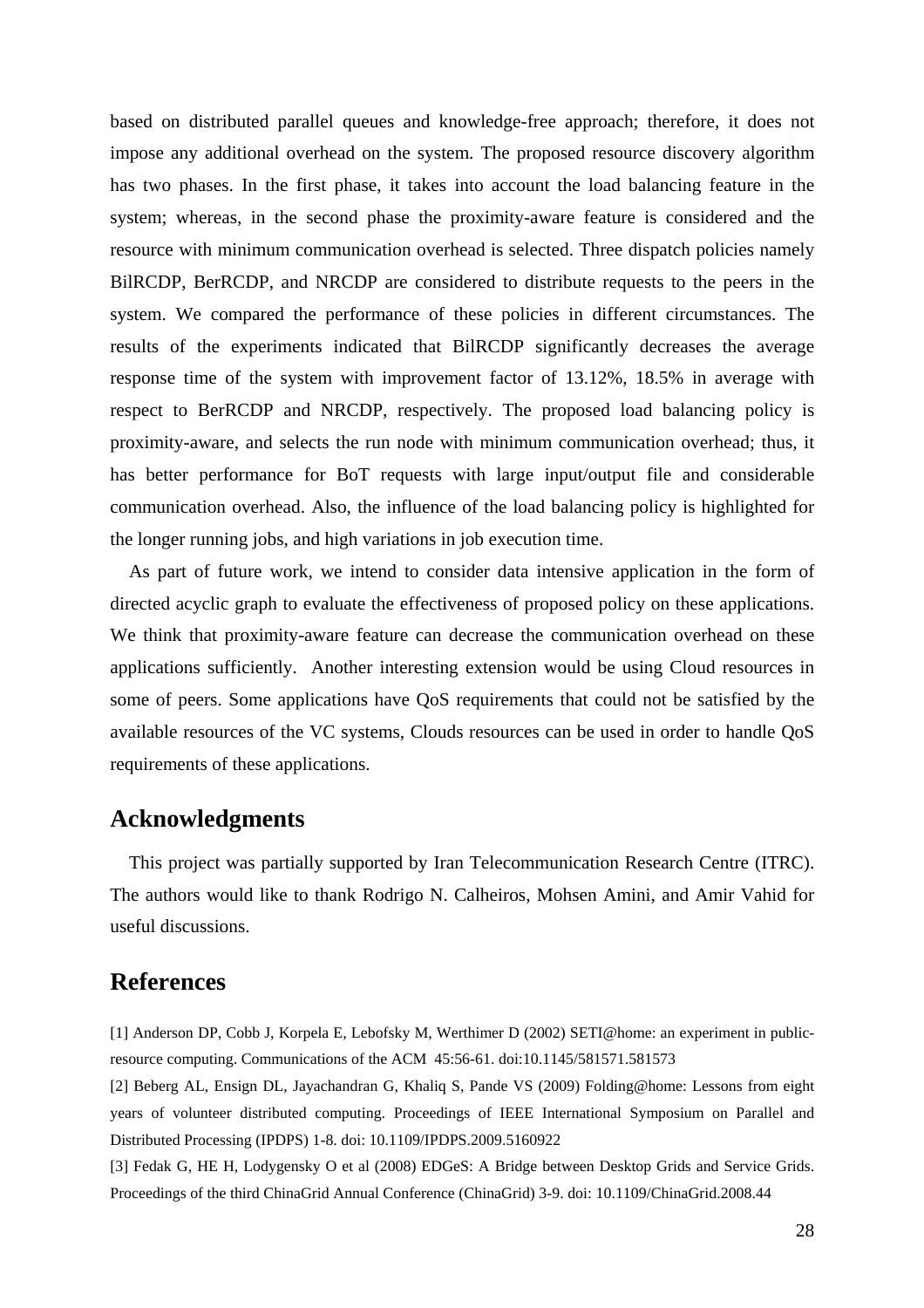based on distributed parallel queues and knowledge-free approach; therefore, it does not impose any additional overhead on the system. The proposed resource discovery algorithm has two phases. In the first phase, it takes into account the load balancing feature in the system; whereas, in the second phase the proximity-aware feature is considered and the resource with minimum communication overhead is selected. Three dispatch policies namely BilRCDP, BerRCDP, and NRCDP are considered to distribute requests to the peers in the system. We compared the performance of these policies in different circumstances. The results of the experiments indicated that BilRCDP significantly decreases the average response time of the system with improvement factor of 13.12%, 18.5% in average with respect to BerRCDP and NRCDP, respectively. The proposed load balancing policy is proximity-aware, and selects the run node with minimum communication overhead; thus, it has better performance for BoT requests with large input/output file and considerable communication overhead. Also, the influence of the load balancing policy is highlighted for the longer running jobs, and high variations in job execution time.

As part of future work, we intend to consider data intensive application in the form of directed acyclic graph to evaluate the effectiveness of proposed policy on these applications. We think that proximity-aware feature can decrease the communication overhead on these applications sufficiently. Another interesting extension would be using Cloud resources in some of peers. Some applications have QoS requirements that could not be satisfied by the available resources of the VC systems, Clouds resources can be used in order to handle QoS requirements of these applications.

# **Acknowledgments**

This project was partially supported by Iran Telecommunication Research Centre (ITRC). The authors would like to thank Rodrigo N. Calheiros, Mohsen Amini, and Amir Vahid for useful discussions.

### **References**

[1] Anderson DP, Cobb J, Korpela E, Lebofsky M, Werthimer D (2002) SETI@home: an experiment in publicresource computing. Communications of the ACM 45:56-61. doi:10.1145/581571.581573

[2] Beberg AL, Ensign DL, Jayachandran G, Khaliq S, Pande VS (2009) Folding@home: Lessons from eight years of volunteer distributed computing. Proceedings of IEEE International Symposium on Parallel and Distributed Processing (IPDPS) 1-8. doi: 10.1109/IPDPS.2009.5160922

[3] Fedak G, HE H, Lodygensky O et al (2008) EDGeS: A Bridge between Desktop Grids and Service Grids. Proceedings of the third ChinaGrid Annual Conference (ChinaGrid) 3-9. doi: 10.1109/ChinaGrid.2008.44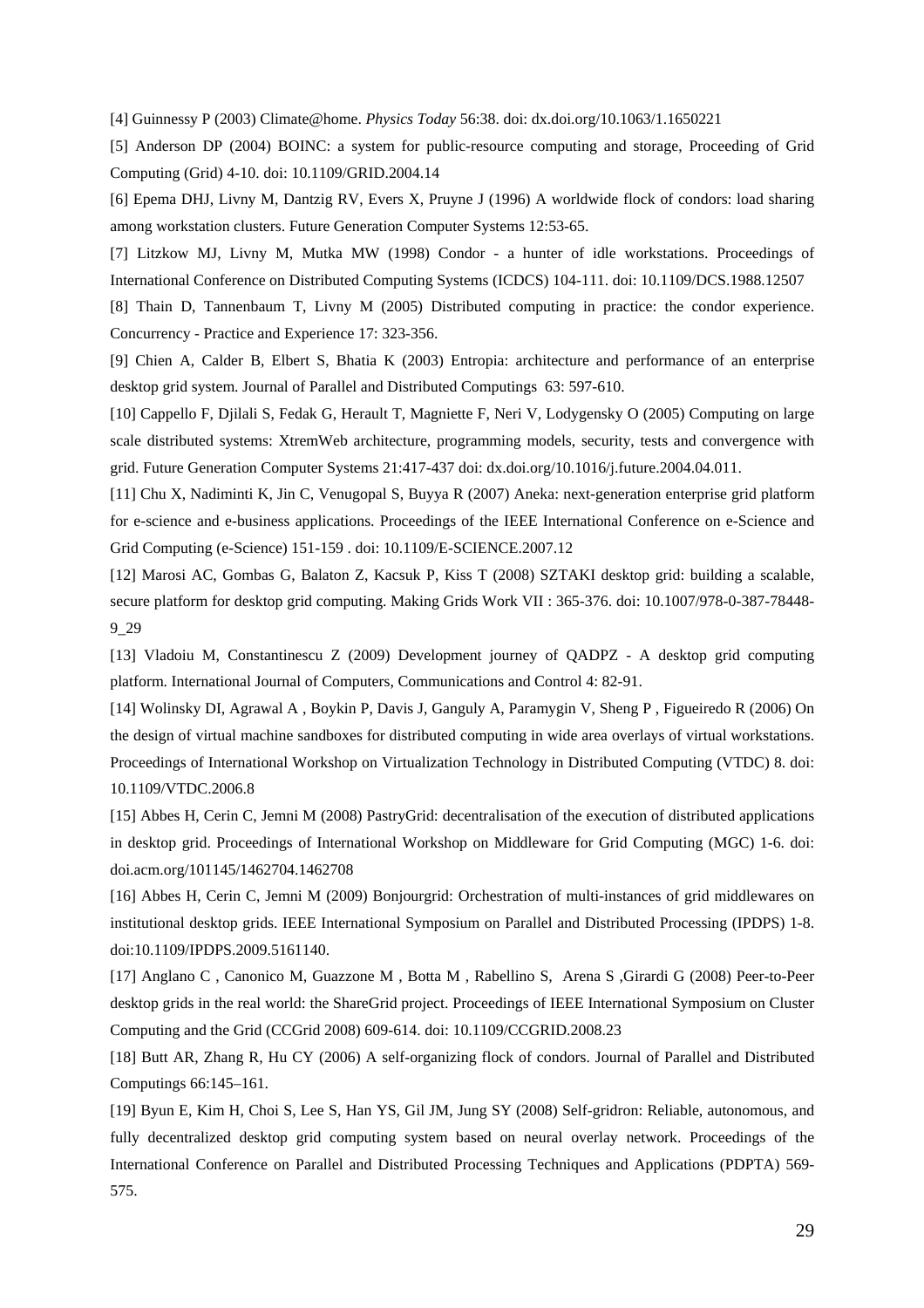[4] Guinnessy P (2003) Climate@home. *Physics Today* 56:38. doi: dx.doi.org/10.1063/1.1650221

[5] Anderson DP (2004) BOINC: a system for public-resource computing and storage, Proceeding of Grid Computing (Grid) 4-10. doi: 10.1109/GRID.2004.14

[6] Epema DHJ, Livny M, Dantzig RV, Evers X, Pruyne J (1996) A worldwide flock of condors: load sharing among workstation clusters. Future Generation Computer Systems 12:53-65.

[7] Litzkow MJ, Livny M, Mutka MW (1998) Condor - a hunter of idle workstations. Proceedings of International Conference on Distributed Computing Systems (ICDCS) 104-111. doi: 10.1109/DCS.1988.12507

[8] Thain D, Tannenbaum T, Livny M (2005) Distributed computing in practice: the condor experience. Concurrency - Practice and Experience 17: 323-356.

[9] Chien A, Calder B, Elbert S, Bhatia K (2003) Entropia: architecture and performance of an enterprise desktop grid system. Journal of Parallel and Distributed Computings 63: 597-610.

[10] Cappello F, Djilali S, Fedak G, Herault T, Magniette F, Neri V, Lodygensky O (2005) Computing on large scale distributed systems: XtremWeb architecture, programming models, security, tests and convergence with grid. Future Generation Computer Systems 21:417-437 doi: dx.doi.org/10.1016/j.future.2004.04.011.

[11] Chu X, Nadiminti K, Jin C, Venugopal S, Buyya R (2007) Aneka: next-generation enterprise grid platform for e-science and e-business applications. Proceedings of the IEEE International Conference on e-Science and Grid Computing (e-Science) 151-159 . doi: 10.1109/E-SCIENCE.2007.12

[12] Marosi AC, Gombas G, Balaton Z, Kacsuk P, Kiss T (2008) SZTAKI desktop grid: building a scalable, secure platform for desktop grid computing. Making Grids Work VII : 365-376. doi: 10.1007/978-0-387-78448- 9\_29

[13] Vladoiu M, Constantinescu Z (2009) Development journey of QADPZ - A desktop grid computing platform. International Journal of Computers, Communications and Control 4: 82-91.

[14] Wolinsky DI, Agrawal A , Boykin P, Davis J, Ganguly A, Paramygin V, Sheng P , Figueiredo R (2006) On the design of virtual machine sandboxes for distributed computing in wide area overlays of virtual workstations. Proceedings of International Workshop on Virtualization Technology in Distributed Computing (VTDC) 8. doi: 10.1109/VTDC.2006.8

[15] Abbes H, Cerin C, Jemni M (2008) PastryGrid: decentralisation of the execution of distributed applications in desktop grid. Proceedings of International Workshop on Middleware for Grid Computing (MGC) 1-6. doi: doi.acm.org/101145/1462704.1462708

[16] Abbes H, Cerin C, Jemni M (2009) Bonjourgrid: Orchestration of multi-instances of grid middlewares on institutional desktop grids. IEEE International Symposium on Parallel and Distributed Processing (IPDPS) 1-8. doi:10.1109/IPDPS.2009.5161140.

[17] [Anglano](http://www.computer.org/search/results?action=authorsearch&resultsPerPage=50&queryOption1=DC_CREATOR&sortOrder=descending&queryText1=Cosimo%20Anglano) C , [Canonico](http://www.computer.org/search/results?action=authorsearch&resultsPerPage=50&queryOption1=DC_CREATOR&sortOrder=descending&queryText1=Massimo%20Canonico) M, [Guazzone](http://www.computer.org/search/results?action=authorsearch&resultsPerPage=50&queryOption1=DC_CREATOR&sortOrder=descending&queryText1=Marco%20Guazzone) M , [Botta](http://www.computer.org/search/results?action=authorsearch&resultsPerPage=50&queryOption1=DC_CREATOR&sortOrder=descending&queryText1=Marco%20Botta) M , [Rabellino](http://www.computer.org/search/results?action=authorsearch&resultsPerPage=50&queryOption1=DC_CREATOR&sortOrder=descending&queryText1=Sergio%20Rabellino) S, [Arena](http://www.computer.org/search/results?action=authorsearch&resultsPerPage=50&queryOption1=DC_CREATOR&sortOrder=descending&queryText1=Simone%20Arena) S [,Girardi](http://www.computer.org/search/results?action=authorsearch&resultsPerPage=50&queryOption1=DC_CREATOR&sortOrder=descending&queryText1=Guglielmo%20Girardi) G (2008) Peer-to-Peer desktop grids in the real world: the ShareGrid project. Proceedings of IEEE International Symposium on Cluster Computing and the Grid (CCGrid 2008) 609-614. doi: 10.1109/CCGRID.2008.23

[18] Butt AR, Zhang R, Hu CY (2006) A self-organizing flock of condors. Journal of Parallel and Distributed Computings 66:145–161.

[19] Byun E, Kim H, Choi S, Lee S, Han YS, Gil JM, Jung SY (2008) Self-gridron: Reliable, autonomous, and fully decentralized desktop grid computing system based on neural overlay network. Proceedings of the International Conference on Parallel and Distributed Processing Techniques and Applications (PDPTA) 569- 575.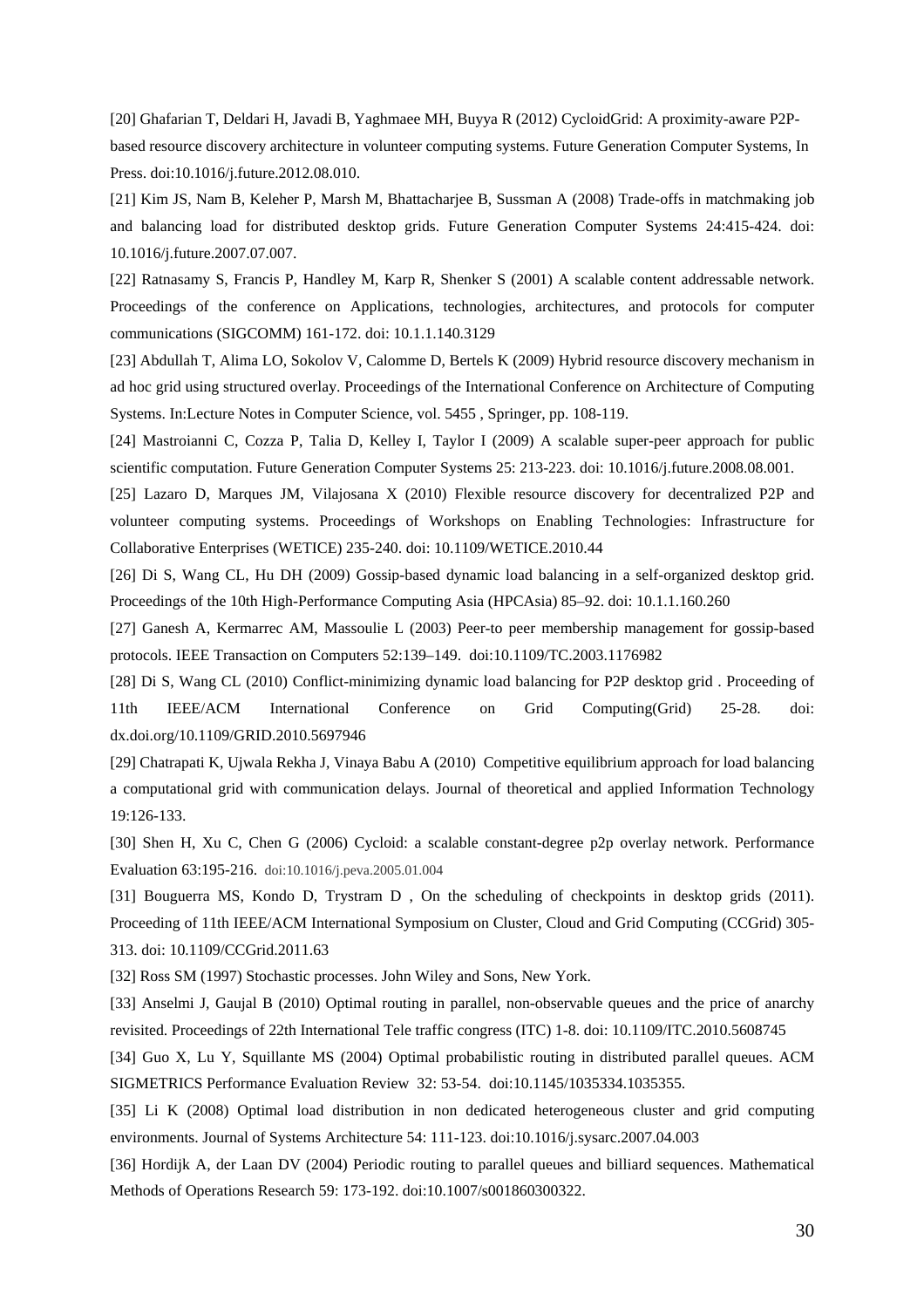[20] Ghafarian T, Deldari H, Javadi B, Yaghmaee MH, Buyya R (2012) CycloidGrid: A proximity-aware P2Pbased resource discovery architecture in volunteer computing systems. Future Generation Computer Systems*,* In Press. doi:10.1016/j.future.2012.08.010.

[21] Kim JS, Nam B, Keleher P, Marsh M, Bhattacharjee B, Sussman A (2008) Trade-offs in matchmaking job and balancing load for distributed desktop grids. Future Generation Computer Systems 24:415-424. doi: 10.1016/j.future.2007.07.007.

[22] Ratnasamy S, Francis P, Handley M, Karp R, Shenker S (2001) A scalable content addressable network. Proceedings of the conference on Applications, technologies, architectures, and protocols for computer communications (SIGCOMM) 161-172. doi: 10.1.1.140.3129

[23] Abdullah T, Alima LO, Sokolov V, Calomme D, Bertels K (2009) Hybrid resource discovery mechanism in ad hoc grid using structured overlay. Proceedings of the International Conference on Architecture of Computing Systems. In:Lecture Notes in Computer Science, vol. 5455 , Springer, pp. 108-119.

[24] Mastroianni C, Cozza P, Talia D, Kelley I, Taylor I (2009) A scalable super-peer approach for public scientific computation. Future Generation Computer Systems 25: 213-223. doi: 10.1016/j.future.2008.08.001.

[25] Lazaro D, Marques JM, Vilajosana X (2010) Flexible resource discovery for decentralized P2P and volunteer computing systems. Proceedings of Workshops on Enabling Technologies: Infrastructure for Collaborative Enterprises (WETICE) 235-240. doi: 10.1109/WETICE.2010.44

[26] Di S, Wang CL, Hu DH (2009) Gossip-based dynamic load balancing in a self-organized desktop grid. Proceedings of the 10th High-Performance Computing Asia (HPCAsia) 85–92. doi: 10.1.1.160.260

[27] Ganesh A, Kermarrec AM, Massoulie L (2003) Peer-to peer membership management for gossip-based protocols. IEEE Transaction on Computers 52:139–149. doi:10.1109/TC.2003.1176982

[28] Di S, Wang CL (2010) Conflict-minimizing dynamic load balancing for P2P desktop grid . Proceeding of 11th IEEE/ACM International Conference on Grid Computing(Grid) 25-28. doi: dx.doi.org/10.1109/GRID.2010.5697946

[29] Chatrapati K, Ujwala Rekha J, Vinaya Babu A (2010)Competitive equilibrium approach for load balancing a computational grid with communication delays. Journal of theoretical and applied Information Technology 19:126-133.

[30] Shen H, Xu C, Chen G (2006) Cycloid: a scalable constant-degree p2p overlay network. Performance Evaluation 63:195-216. doi:10.1016/j.peva.2005.01.004

[31] Bouguerra MS, Kondo D, Trystram D, On the scheduling of checkpoints in desktop grids (2011). Proceeding of 11th IEEE/ACM International Symposium on Cluster, Cloud and Grid Computing (CCGrid) 305- 313. doi: 10.1109/CCGrid.2011.63

[32] Ross SM (1997) Stochastic processes. John Wiley and Sons, New York.

[33] Anselmi J, Gaujal B (2010) Optimal routing in parallel, non-observable queues and the price of anarchy revisited. Proceedings of 22th International Tele traffic congress (ITC) 1-8. doi: 10.1109/ITC.2010.5608745

[34] Guo X, Lu Y, Squillante MS (2004) Optimal probabilistic routing in distributed parallel queues. ACM SIGMETRICS Performance Evaluation Review 32: 53-54. doi:10.1145/1035334.1035355.

[35] Li K (2008) Optimal load distribution in non dedicated heterogeneous cluster and grid computing environments. Journal of Systems Architecture 54: 111-123. doi:10.1016/j.sysarc.2007.04.003

[36] Hordijk A, der Laan DV (2004) Periodic routing to parallel queues and billiard sequences. Mathematical Methods of Operations Research 59: 173-192. doi:10.1007/s001860300322.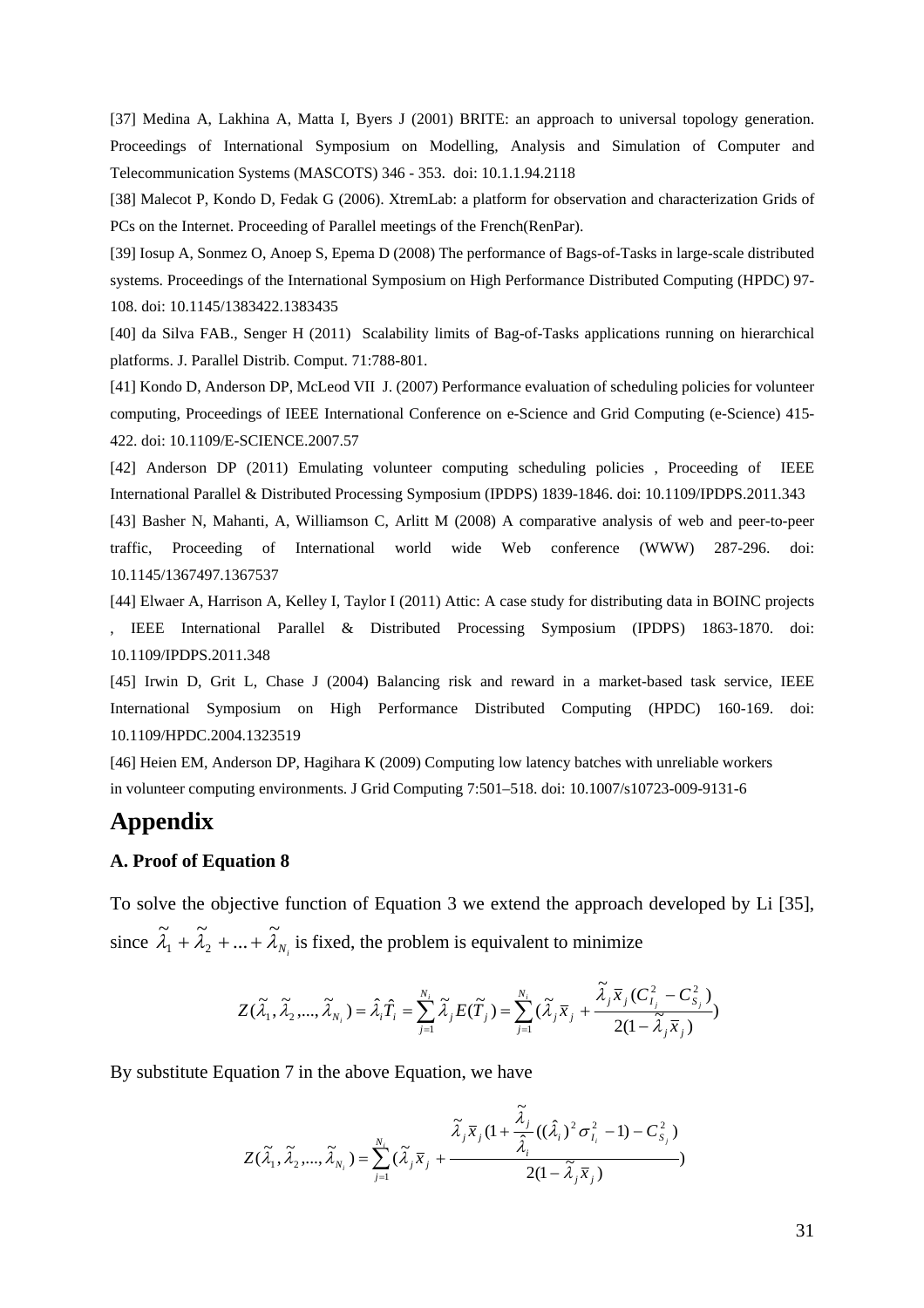[37] Medina A, Lakhina A, Matta I, Byers J (2001) BRITE: an approach to universal topology generation. Proceedings of International Symposium on Modelling, Analysis and Simulation of Computer and Telecommunication Systems (MASCOTS) 346 - 353. doi: 10.1.1.94.2118

[38] Malecot P, Kondo D, Fedak G (2006). XtremLab: a platform for observation and characterization Grids of PCs on the Internet. Proceeding of Parallel meetings of the French(RenPar).

[39] Iosup A, Sonmez O, Anoep S, Epema D (2008) The performance of Bags-of-Tasks in large-scale distributed systems. Proceedings of the International Symposium on High Performance Distributed Computing (HPDC) 97- 108. doi: 10.1145/1383422.1383435

[40] da Silva FAB., Senger H (2011) Scalability limits of Bag-of-Tasks applications running on hierarchical platforms. J. Parallel Distrib. Comput. 71:788-801.

[41] Kondo D, Anderson DP, McLeod VII J. (2007) Performance evaluation of scheduling policies for volunteer computing, Proceedings of IEEE International Conference on e-Science and Grid Computing (e-Science) 415- 422. doi: 10.1109/E-SCIENCE.2007.57

[42] Anderson DP (2011) Emulating volunteer computing scheduling policies , Proceeding of IEEE International Parallel & Distributed Processing Symposium (IPDPS) 1839-1846. doi: 10.1109/IPDPS.2011.343

[43] Basher N, Mahanti, A, Williamson C, Arlitt M (2008) A comparative analysis of web and peer-to-peer traffic, Proceeding of International world wide Web conference (WWW) 287-296. doi: 10.1145/1367497.1367537

[44] Elwaer A, Harrison A, Kelley I, Taylor I (2011) Attic: A case study for distributing data in BOINC projects , IEEE International Parallel & Distributed Processing Symposium (IPDPS) 1863-1870. doi: 10.1109/IPDPS.2011.348

[45] Irwin D, Grit L, Chase J (2004) Balancing risk and reward in a market-based task service, IEEE International Symposium on High Performance Distributed Computing (HPDC) 160-169. doi: 10.1109/HPDC.2004.1323519

[46] Heien EM, Anderson DP, Hagihara K (2009) Computing low latency batches with unreliable workers in volunteer computing environments. J Grid Computing 7:501–518. doi: 10.1007/s10723-009-9131-6

### **Appendix**

### **A. Proof of Equation 8**

To solve the objective function of Equation 3 we extend the approach developed by Li [35], since  $\tilde{\lambda}_1 + \tilde{\lambda}_2 + ... + \tilde{\lambda}_{N_i}$  is fixed, the problem is equivalent to minimize

$$
Z(\widetilde{\lambda}_1,\widetilde{\lambda}_2,...,\widetilde{\lambda}_{N_i})=\widehat{\lambda}_i\widehat{T}_i=\sum_{j=1}^{N_i}\widetilde{\lambda}_jE(\widetilde{T}_j)=\sum_{j=1}^{N_i}(\widetilde{\lambda}_j\overline{x}_j+\frac{\widetilde{\lambda}_j\overline{x}_j(C_{I_j}^2-C_{S_j}^2)}{2(1-\widetilde{\lambda}_j\overline{x}_j)})
$$

By substitute Equation 7 in the above Equation, we have

$$
Z(\widetilde{\lambda}_1, \widetilde{\lambda}_2, ..., \widetilde{\lambda}_{N_i}) = \sum_{j=1}^{N_i} (\widetilde{\lambda}_j \overline{x}_j + \frac{\widetilde{\lambda}_j}{2} ((\widehat{\lambda}_i)^2 \sigma_{I_i}^2 - 1) - C_{S_j}^2)
$$